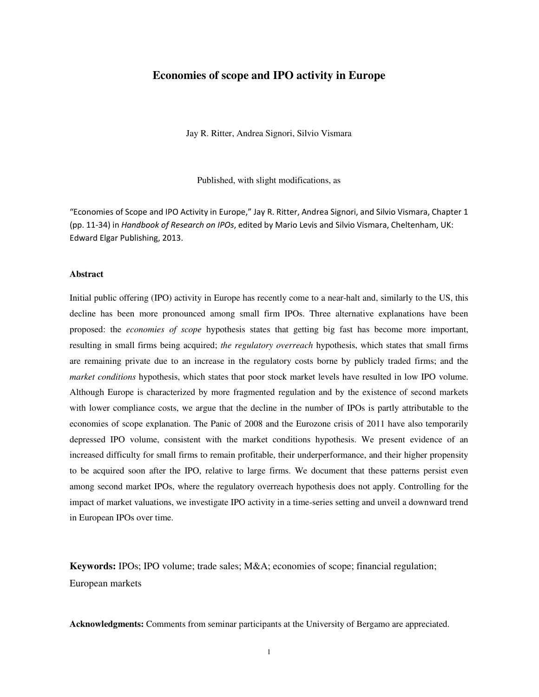# **Economies of scope and IPO activity in Europe**

Jay R. Ritter, Andrea Signori, Silvio Vismara

Published, with slight modifications, as

"Economies of Scope and IPO Activity in Europe," Jay R. Ritter, Andrea Signori, and Silvio Vismara, Chapter 1 (pp. 11-34) in Handbook of Research on IPOs, edited by Mario Levis and Silvio Vismara, Cheltenham, UK: Edward Elgar Publishing, 2013.

#### **Abstract**

Initial public offering (IPO) activity in Europe has recently come to a near-halt and, similarly to the US, this decline has been more pronounced among small firm IPOs. Three alternative explanations have been proposed: the *economies of scope* hypothesis states that getting big fast has become more important, resulting in small firms being acquired; *the regulatory overreach* hypothesis, which states that small firms are remaining private due to an increase in the regulatory costs borne by publicly traded firms; and the *market conditions* hypothesis, which states that poor stock market levels have resulted in low IPO volume. Although Europe is characterized by more fragmented regulation and by the existence of second markets with lower compliance costs, we argue that the decline in the number of IPOs is partly attributable to the economies of scope explanation. The Panic of 2008 and the Eurozone crisis of 2011 have also temporarily depressed IPO volume, consistent with the market conditions hypothesis. We present evidence of an increased difficulty for small firms to remain profitable, their underperformance, and their higher propensity to be acquired soon after the IPO, relative to large firms. We document that these patterns persist even among second market IPOs, where the regulatory overreach hypothesis does not apply. Controlling for the impact of market valuations, we investigate IPO activity in a time-series setting and unveil a downward trend in European IPOs over time.

**Keywords:** IPOs; IPO volume; trade sales; M&A; economies of scope; financial regulation; European markets

**Acknowledgments:** Comments from seminar participants at the University of Bergamo are appreciated.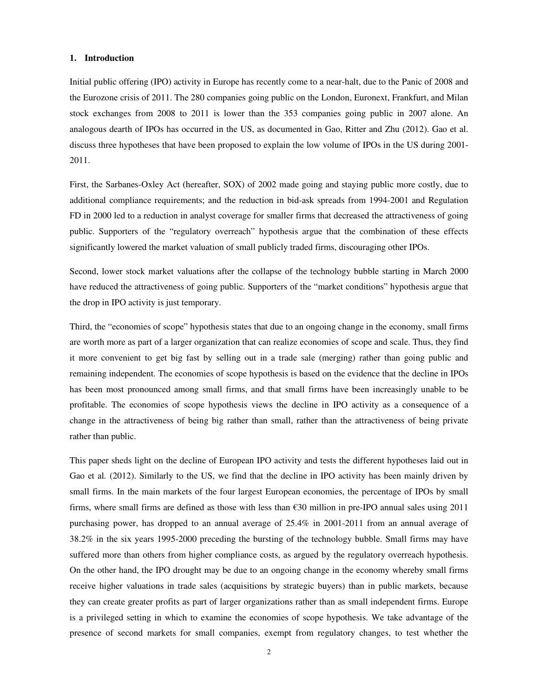## **1. Introduction**

Initial public offering (IPO) activity in Europe has recently come to a near-halt, due to the Panic of 2008 and the Eurozone crisis of 2011. The 280 companies going public on the London, Euronext, Frankfurt, and Milan stock exchanges from 2008 to 2011 is lower than the 353 companies going public in 2007 alone. An analogous dearth of IPOs has occurred in the US, as documented in Gao, Ritter and Zhu (2012). Gao et al. discuss three hypotheses that have been proposed to explain the low volume of IPOs in the US during 2001- 2011.

First, the Sarbanes-Oxley Act (hereafter, SOX) of 2002 made going and staying public more costly, due to additional compliance requirements; and the reduction in bid-ask spreads from 1994-2001 and Regulation FD in 2000 led to a reduction in analyst coverage for smaller firms that decreased the attractiveness of going public. Supporters of the "regulatory overreach" hypothesis argue that the combination of these effects significantly lowered the market valuation of small publicly traded firms, discouraging other IPOs.

Second, lower stock market valuations after the collapse of the technology bubble starting in March 2000 have reduced the attractiveness of going public. Supporters of the "market conditions" hypothesis argue that the drop in IPO activity is just temporary.

Third, the "economies of scope" hypothesis states that due to an ongoing change in the economy, small firms are worth more as part of a larger organization that can realize economies of scope and scale. Thus, they find it more convenient to get big fast by selling out in a trade sale (merging) rather than going public and remaining independent. The economies of scope hypothesis is based on the evidence that the decline in IPOs has been most pronounced among small firms, and that small firms have been increasingly unable to be profitable. The economies of scope hypothesis views the decline in IPO activity as a consequence of a change in the attractiveness of being big rather than small, rather than the attractiveness of being private rather than public.

This paper sheds light on the decline of European IPO activity and tests the different hypotheses laid out in Gao et al*.* (2012). Similarly to the US, we find that the decline in IPO activity has been mainly driven by small firms. In the main markets of the four largest European economies, the percentage of IPOs by small firms, where small firms are defined as those with less than  $\epsilon$ 30 million in pre-IPO annual sales using 2011 purchasing power, has dropped to an annual average of 25.4% in 2001-2011 from an annual average of 38.2% in the six years 1995-2000 preceding the bursting of the technology bubble. Small firms may have suffered more than others from higher compliance costs, as argued by the regulatory overreach hypothesis. On the other hand, the IPO drought may be due to an ongoing change in the economy whereby small firms receive higher valuations in trade sales (acquisitions by strategic buyers) than in public markets, because they can create greater profits as part of larger organizations rather than as small independent firms. Europe is a privileged setting in which to examine the economies of scope hypothesis. We take advantage of the presence of second markets for small companies, exempt from regulatory changes, to test whether the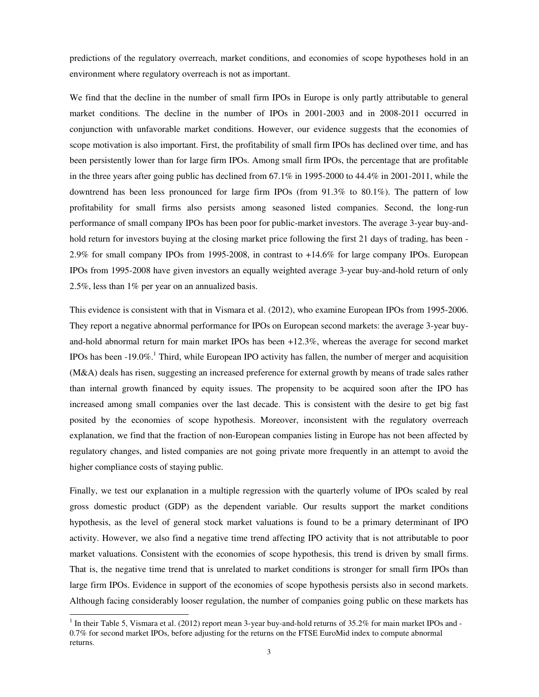predictions of the regulatory overreach, market conditions, and economies of scope hypotheses hold in an environment where regulatory overreach is not as important.

We find that the decline in the number of small firm IPOs in Europe is only partly attributable to general market conditions. The decline in the number of IPOs in 2001-2003 and in 2008-2011 occurred in conjunction with unfavorable market conditions. However, our evidence suggests that the economies of scope motivation is also important. First, the profitability of small firm IPOs has declined over time, and has been persistently lower than for large firm IPOs. Among small firm IPOs, the percentage that are profitable in the three years after going public has declined from 67.1% in 1995-2000 to 44.4% in 2001-2011, while the downtrend has been less pronounced for large firm IPOs (from 91.3% to 80.1%). The pattern of low profitability for small firms also persists among seasoned listed companies. Second, the long-run performance of small company IPOs has been poor for public-market investors. The average 3-year buy-andhold return for investors buying at the closing market price following the first 21 days of trading, has been -2.9% for small company IPOs from 1995-2008, in contrast to +14.6% for large company IPOs. European IPOs from 1995-2008 have given investors an equally weighted average 3-year buy-and-hold return of only 2.5%, less than 1% per year on an annualized basis.

This evidence is consistent with that in Vismara et al. (2012), who examine European IPOs from 1995-2006. They report a negative abnormal performance for IPOs on European second markets: the average 3-year buyand-hold abnormal return for main market IPOs has been +12.3%, whereas the average for second market IPOs has been -19.0%.<sup>1</sup> Third, while European IPO activity has fallen, the number of merger and acquisition (M&A) deals has risen, suggesting an increased preference for external growth by means of trade sales rather than internal growth financed by equity issues. The propensity to be acquired soon after the IPO has increased among small companies over the last decade. This is consistent with the desire to get big fast posited by the economies of scope hypothesis. Moreover, inconsistent with the regulatory overreach explanation, we find that the fraction of non-European companies listing in Europe has not been affected by regulatory changes, and listed companies are not going private more frequently in an attempt to avoid the higher compliance costs of staying public.

Finally, we test our explanation in a multiple regression with the quarterly volume of IPOs scaled by real gross domestic product (GDP) as the dependent variable. Our results support the market conditions hypothesis, as the level of general stock market valuations is found to be a primary determinant of IPO activity. However, we also find a negative time trend affecting IPO activity that is not attributable to poor market valuations. Consistent with the economies of scope hypothesis, this trend is driven by small firms. That is, the negative time trend that is unrelated to market conditions is stronger for small firm IPOs than large firm IPOs. Evidence in support of the economies of scope hypothesis persists also in second markets. Although facing considerably looser regulation, the number of companies going public on these markets has

l

 $1$  In their Table 5, Vismara et al. (2012) report mean 3-year buy-and-hold returns of 35.2% for main market IPOs and -0.7% for second market IPOs, before adjusting for the returns on the FTSE EuroMid index to compute abnormal returns.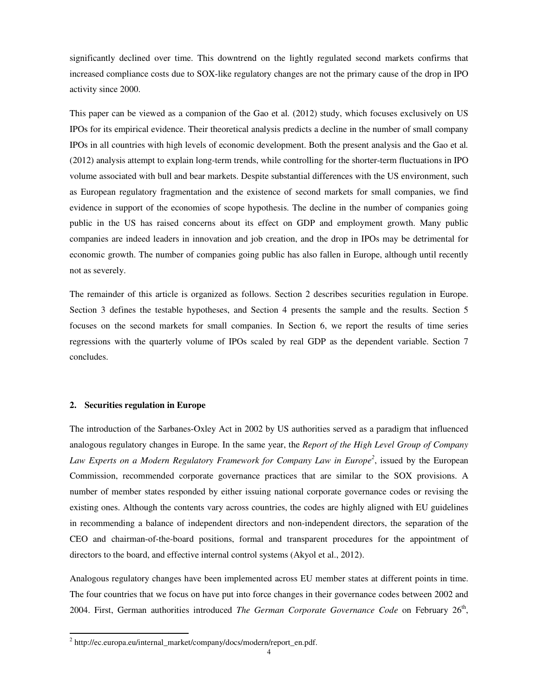significantly declined over time. This downtrend on the lightly regulated second markets confirms that increased compliance costs due to SOX-like regulatory changes are not the primary cause of the drop in IPO activity since 2000.

This paper can be viewed as a companion of the Gao et al*.* (2012) study, which focuses exclusively on US IPOs for its empirical evidence. Their theoretical analysis predicts a decline in the number of small company IPOs in all countries with high levels of economic development. Both the present analysis and the Gao et al*.*  (2012) analysis attempt to explain long-term trends, while controlling for the shorter-term fluctuations in IPO volume associated with bull and bear markets. Despite substantial differences with the US environment, such as European regulatory fragmentation and the existence of second markets for small companies, we find evidence in support of the economies of scope hypothesis. The decline in the number of companies going public in the US has raised concerns about its effect on GDP and employment growth. Many public companies are indeed leaders in innovation and job creation, and the drop in IPOs may be detrimental for economic growth. The number of companies going public has also fallen in Europe, although until recently not as severely.

The remainder of this article is organized as follows. Section 2 describes securities regulation in Europe. Section 3 defines the testable hypotheses, and Section 4 presents the sample and the results. Section 5 focuses on the second markets for small companies. In Section 6, we report the results of time series regressions with the quarterly volume of IPOs scaled by real GDP as the dependent variable. Section 7 concludes.

### **2. Securities regulation in Europe**

 $\overline{a}$ 

The introduction of the Sarbanes-Oxley Act in 2002 by US authorities served as a paradigm that influenced analogous regulatory changes in Europe. In the same year, the *Report of the High Level Group of Company*  Law Experts on a Modern Regulatory Framework for Company Law in Europe<sup>2</sup>, issued by the European Commission, recommended corporate governance practices that are similar to the SOX provisions. A number of member states responded by either issuing national corporate governance codes or revising the existing ones. Although the contents vary across countries, the codes are highly aligned with EU guidelines in recommending a balance of independent directors and non-independent directors, the separation of the CEO and chairman-of-the-board positions, formal and transparent procedures for the appointment of directors to the board, and effective internal control systems (Akyol et al., 2012).

Analogous regulatory changes have been implemented across EU member states at different points in time. The four countries that we focus on have put into force changes in their governance codes between 2002 and 2004. First, German authorities introduced *The German Corporate Governance Code* on February 26<sup>th</sup>,

<sup>&</sup>lt;sup>2</sup> http://ec.europa.eu/internal\_market/company/docs/modern/report\_en.pdf.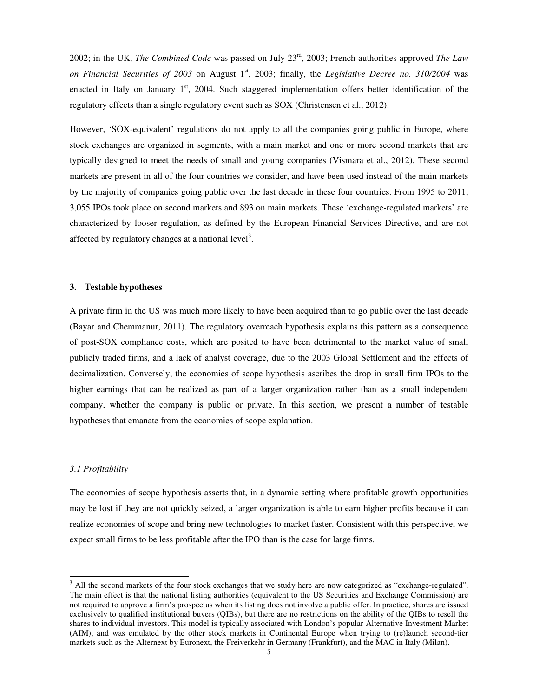2002; in the UK, *The Combined Code* was passed on July 23rd, 2003; French authorities approved *The Law on Financial Securities of 2003* on August 1st, 2003; finally, the *Legislative Decree no. 310/2004* was enacted in Italy on January  $1<sup>st</sup>$ , 2004. Such staggered implementation offers better identification of the regulatory effects than a single regulatory event such as SOX (Christensen et al., 2012).

However, 'SOX-equivalent' regulations do not apply to all the companies going public in Europe, where stock exchanges are organized in segments, with a main market and one or more second markets that are typically designed to meet the needs of small and young companies (Vismara et al., 2012). These second markets are present in all of the four countries we consider, and have been used instead of the main markets by the majority of companies going public over the last decade in these four countries. From 1995 to 2011, 3,055 IPOs took place on second markets and 893 on main markets. These 'exchange-regulated markets' are characterized by looser regulation, as defined by the European Financial Services Directive, and are not affected by regulatory changes at a national level<sup>3</sup>.

#### **3. Testable hypotheses**

A private firm in the US was much more likely to have been acquired than to go public over the last decade (Bayar and Chemmanur, 2011). The regulatory overreach hypothesis explains this pattern as a consequence of post-SOX compliance costs, which are posited to have been detrimental to the market value of small publicly traded firms, and a lack of analyst coverage, due to the 2003 Global Settlement and the effects of decimalization. Conversely, the economies of scope hypothesis ascribes the drop in small firm IPOs to the higher earnings that can be realized as part of a larger organization rather than as a small independent company, whether the company is public or private. In this section, we present a number of testable hypotheses that emanate from the economies of scope explanation.

### *3.1 Profitability*

 $\overline{\phantom{a}}$ 

The economies of scope hypothesis asserts that, in a dynamic setting where profitable growth opportunities may be lost if they are not quickly seized, a larger organization is able to earn higher profits because it can realize economies of scope and bring new technologies to market faster. Consistent with this perspective, we expect small firms to be less profitable after the IPO than is the case for large firms.

 $3$  All the second markets of the four stock exchanges that we study here are now categorized as "exchange-regulated". The main effect is that the national listing authorities (equivalent to the US Securities and Exchange Commission) are not required to approve a firm's prospectus when its listing does not involve a public offer. In practice, shares are issued exclusively to qualified institutional buyers (QIBs), but there are no restrictions on the ability of the QIBs to resell the shares to individual investors. This model is typically associated with London's popular Alternative Investment Market (AIM), and was emulated by the other stock markets in Continental Europe when trying to (re)launch second-tier markets such as the Alternext by Euronext, the Freiverkehr in Germany (Frankfurt), and the MAC in Italy (Milan).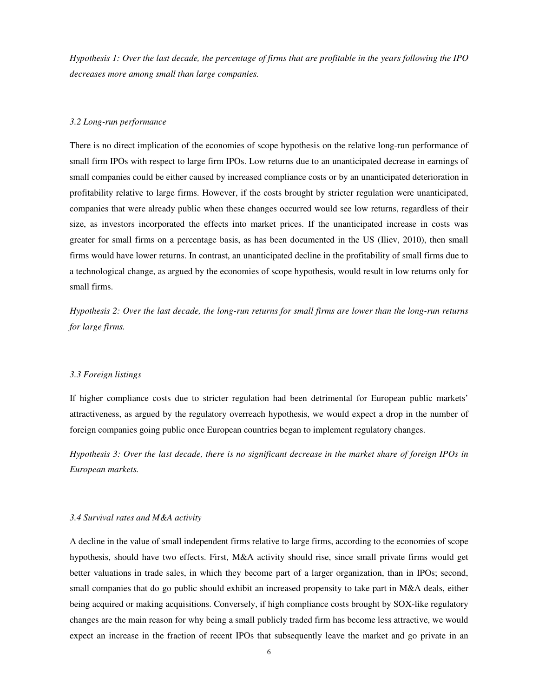*Hypothesis 1: Over the last decade, the percentage of firms that are profitable in the years following the IPO decreases more among small than large companies.* 

#### *3.2 Long-run performance*

There is no direct implication of the economies of scope hypothesis on the relative long-run performance of small firm IPOs with respect to large firm IPOs. Low returns due to an unanticipated decrease in earnings of small companies could be either caused by increased compliance costs or by an unanticipated deterioration in profitability relative to large firms. However, if the costs brought by stricter regulation were unanticipated, companies that were already public when these changes occurred would see low returns, regardless of their size, as investors incorporated the effects into market prices. If the unanticipated increase in costs was greater for small firms on a percentage basis, as has been documented in the US (Iliev, 2010), then small firms would have lower returns. In contrast, an unanticipated decline in the profitability of small firms due to a technological change, as argued by the economies of scope hypothesis, would result in low returns only for small firms.

*Hypothesis 2: Over the last decade, the long-run returns for small firms are lower than the long-run returns for large firms.* 

#### *3.3 Foreign listings*

If higher compliance costs due to stricter regulation had been detrimental for European public markets' attractiveness, as argued by the regulatory overreach hypothesis, we would expect a drop in the number of foreign companies going public once European countries began to implement regulatory changes.

*Hypothesis 3: Over the last decade, there is no significant decrease in the market share of foreign IPOs in European markets.* 

#### *3.4 Survival rates and M&A activity*

A decline in the value of small independent firms relative to large firms, according to the economies of scope hypothesis, should have two effects. First, M&A activity should rise, since small private firms would get better valuations in trade sales, in which they become part of a larger organization, than in IPOs; second, small companies that do go public should exhibit an increased propensity to take part in M&A deals, either being acquired or making acquisitions. Conversely, if high compliance costs brought by SOX-like regulatory changes are the main reason for why being a small publicly traded firm has become less attractive, we would expect an increase in the fraction of recent IPOs that subsequently leave the market and go private in an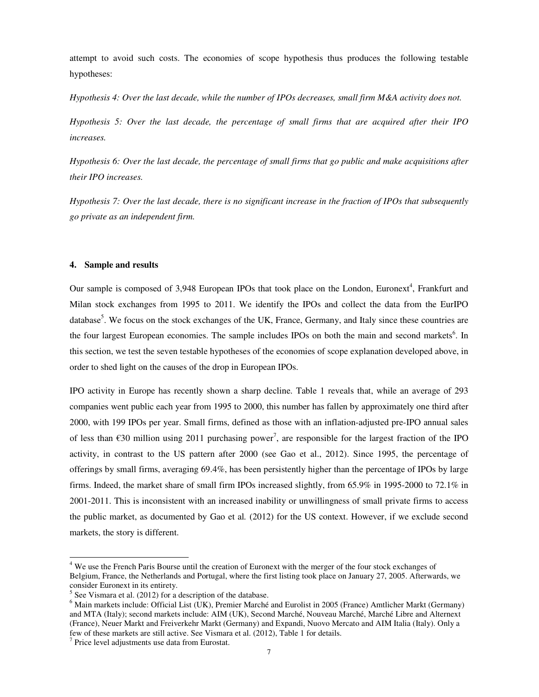attempt to avoid such costs. The economies of scope hypothesis thus produces the following testable hypotheses:

*Hypothesis 4: Over the last decade, while the number of IPOs decreases, small firm M&A activity does not.* 

*Hypothesis 5: Over the last decade, the percentage of small firms that are acquired after their IPO increases.* 

*Hypothesis 6: Over the last decade, the percentage of small firms that go public and make acquisitions after their IPO increases.* 

*Hypothesis 7: Over the last decade, there is no significant increase in the fraction of IPOs that subsequently go private as an independent firm.* 

#### **4. Sample and results**

Our sample is composed of 3,948 European IPOs that took place on the London, Euronext<sup>4</sup>, Frankfurt and Milan stock exchanges from 1995 to 2011. We identify the IPOs and collect the data from the EurIPO database<sup>5</sup>. We focus on the stock exchanges of the UK, France, Germany, and Italy since these countries are the four largest European economies. The sample includes IPOs on both the main and second markets<sup>6</sup>. In this section, we test the seven testable hypotheses of the economies of scope explanation developed above, in order to shed light on the causes of the drop in European IPOs.

IPO activity in Europe has recently shown a sharp decline. Table 1 reveals that, while an average of 293 companies went public each year from 1995 to 2000, this number has fallen by approximately one third after 2000, with 199 IPOs per year. Small firms, defined as those with an inflation-adjusted pre-IPO annual sales of less than  $\epsilon$ 30 million using 2011 purchasing power<sup>7</sup>, are responsible for the largest fraction of the IPO activity, in contrast to the US pattern after 2000 (see Gao et al., 2012). Since 1995, the percentage of offerings by small firms, averaging 69.4%, has been persistently higher than the percentage of IPOs by large firms. Indeed, the market share of small firm IPOs increased slightly, from 65.9% in 1995-2000 to 72.1% in 2001-2011. This is inconsistent with an increased inability or unwillingness of small private firms to access the public market, as documented by Gao et al*.* (2012) for the US context. However, if we exclude second markets, the story is different.

l

<sup>&</sup>lt;sup>4</sup> We use the French Paris Bourse until the creation of Euronext with the merger of the four stock exchanges of Belgium, France, the Netherlands and Portugal, where the first listing took place on January 27, 2005. Afterwards, we consider Euronext in its entirety.

<sup>5</sup> See Vismara et al. (2012) for a description of the database.

 $6$  Main markets include: Official List ( $\dot{U}K$ ), Premier Marché and Eurolist in 2005 (France) Amtlicher Markt (Germany) and MTA (Italy); second markets include: AIM (UK), Second Marché, Nouveau Marché, Marché Libre and Alternext (France), Neuer Markt and Freiverkehr Markt (Germany) and Expandi, Nuovo Mercato and AIM Italia (Italy). Only a few of these markets are still active. See Vismara et al. (2012), Table 1 for details.

 $7$  Price level adjustments use data from Eurostat.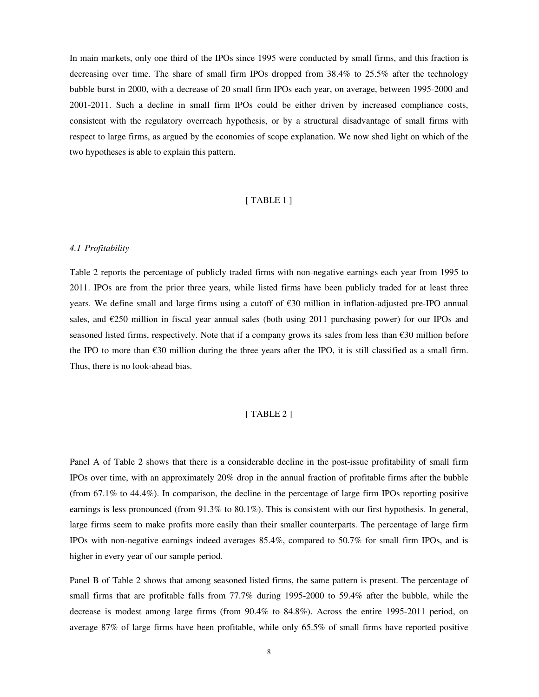In main markets, only one third of the IPOs since 1995 were conducted by small firms, and this fraction is decreasing over time. The share of small firm IPOs dropped from 38.4% to 25.5% after the technology bubble burst in 2000, with a decrease of 20 small firm IPOs each year, on average, between 1995-2000 and 2001-2011. Such a decline in small firm IPOs could be either driven by increased compliance costs, consistent with the regulatory overreach hypothesis, or by a structural disadvantage of small firms with respect to large firms, as argued by the economies of scope explanation. We now shed light on which of the two hypotheses is able to explain this pattern.

## [ TABLE 1 ]

### *4.1 Profitability*

Table 2 reports the percentage of publicly traded firms with non-negative earnings each year from 1995 to 2011. IPOs are from the prior three years, while listed firms have been publicly traded for at least three years. We define small and large firms using a cutoff of €30 million in inflation-adjusted pre-IPO annual sales, and  $\epsilon$ 250 million in fiscal year annual sales (both using 2011 purchasing power) for our IPOs and seasoned listed firms, respectively. Note that if a company grows its sales from less than €30 million before the IPO to more than  $\epsilon$ 30 million during the three years after the IPO, it is still classified as a small firm. Thus, there is no look-ahead bias.

### [ TABLE 2 ]

Panel A of Table 2 shows that there is a considerable decline in the post-issue profitability of small firm IPOs over time, with an approximately 20% drop in the annual fraction of profitable firms after the bubble (from 67.1% to 44.4%). In comparison, the decline in the percentage of large firm IPOs reporting positive earnings is less pronounced (from 91.3% to 80.1%). This is consistent with our first hypothesis. In general, large firms seem to make profits more easily than their smaller counterparts. The percentage of large firm IPOs with non-negative earnings indeed averages 85.4%, compared to 50.7% for small firm IPOs, and is higher in every year of our sample period.

Panel B of Table 2 shows that among seasoned listed firms, the same pattern is present. The percentage of small firms that are profitable falls from 77.7% during 1995-2000 to 59.4% after the bubble, while the decrease is modest among large firms (from 90.4% to 84.8%). Across the entire 1995-2011 period, on average 87% of large firms have been profitable, while only 65.5% of small firms have reported positive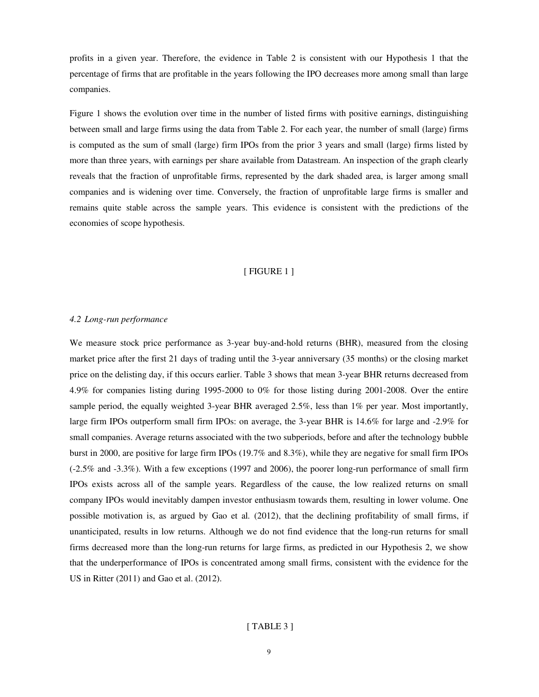profits in a given year. Therefore, the evidence in Table 2 is consistent with our Hypothesis 1 that the percentage of firms that are profitable in the years following the IPO decreases more among small than large companies.

Figure 1 shows the evolution over time in the number of listed firms with positive earnings, distinguishing between small and large firms using the data from Table 2. For each year, the number of small (large) firms is computed as the sum of small (large) firm IPOs from the prior 3 years and small (large) firms listed by more than three years, with earnings per share available from Datastream. An inspection of the graph clearly reveals that the fraction of unprofitable firms, represented by the dark shaded area, is larger among small companies and is widening over time. Conversely, the fraction of unprofitable large firms is smaller and remains quite stable across the sample years. This evidence is consistent with the predictions of the economies of scope hypothesis.

## [ FIGURE 1 ]

#### *4.2 Long-run performance*

We measure stock price performance as 3-year buy-and-hold returns (BHR), measured from the closing market price after the first 21 days of trading until the 3-year anniversary (35 months) or the closing market price on the delisting day, if this occurs earlier. Table 3 shows that mean 3-year BHR returns decreased from 4.9% for companies listing during 1995-2000 to 0% for those listing during 2001-2008. Over the entire sample period, the equally weighted 3-year BHR averaged 2.5%, less than 1% per year. Most importantly, large firm IPOs outperform small firm IPOs: on average, the 3-year BHR is 14.6% for large and -2.9% for small companies. Average returns associated with the two subperiods, before and after the technology bubble burst in 2000, are positive for large firm IPOs (19.7% and 8.3%), while they are negative for small firm IPOs (-2.5% and -3.3%). With a few exceptions (1997 and 2006), the poorer long-run performance of small firm IPOs exists across all of the sample years. Regardless of the cause, the low realized returns on small company IPOs would inevitably dampen investor enthusiasm towards them, resulting in lower volume. One possible motivation is, as argued by Gao et al*.* (2012), that the declining profitability of small firms, if unanticipated, results in low returns. Although we do not find evidence that the long-run returns for small firms decreased more than the long-run returns for large firms, as predicted in our Hypothesis 2, we show that the underperformance of IPOs is concentrated among small firms, consistent with the evidence for the US in Ritter (2011) and Gao et al. (2012).

## [ TABLE 3 ]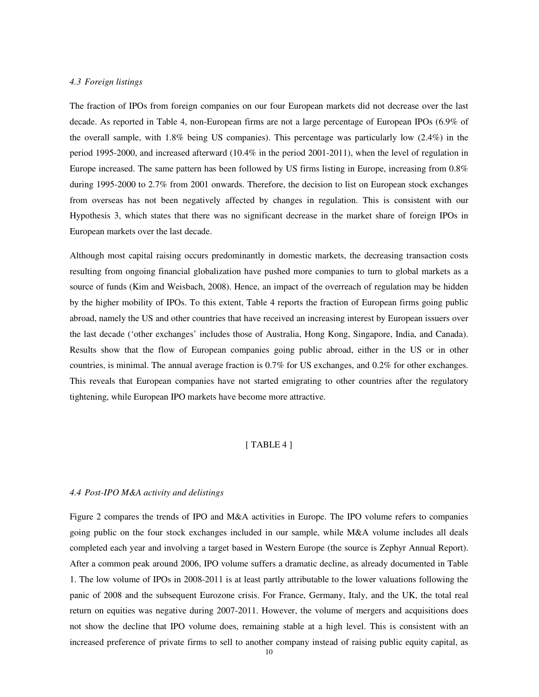### *4.3 Foreign listings*

The fraction of IPOs from foreign companies on our four European markets did not decrease over the last decade. As reported in Table 4, non-European firms are not a large percentage of European IPOs (6.9% of the overall sample, with 1.8% being US companies). This percentage was particularly low (2.4%) in the period 1995-2000, and increased afterward (10.4% in the period 2001-2011), when the level of regulation in Europe increased. The same pattern has been followed by US firms listing in Europe, increasing from 0.8% during 1995-2000 to 2.7% from 2001 onwards. Therefore, the decision to list on European stock exchanges from overseas has not been negatively affected by changes in regulation. This is consistent with our Hypothesis 3, which states that there was no significant decrease in the market share of foreign IPOs in European markets over the last decade.

Although most capital raising occurs predominantly in domestic markets, the decreasing transaction costs resulting from ongoing financial globalization have pushed more companies to turn to global markets as a source of funds (Kim and Weisbach, 2008). Hence, an impact of the overreach of regulation may be hidden by the higher mobility of IPOs. To this extent, Table 4 reports the fraction of European firms going public abroad, namely the US and other countries that have received an increasing interest by European issuers over the last decade ('other exchanges' includes those of Australia, Hong Kong, Singapore, India, and Canada). Results show that the flow of European companies going public abroad, either in the US or in other countries, is minimal. The annual average fraction is 0.7% for US exchanges, and 0.2% for other exchanges. This reveals that European companies have not started emigrating to other countries after the regulatory tightening, while European IPO markets have become more attractive.

## [TABLE 4]

#### *4.4 Post-IPO M&A activity and delistings*

Figure 2 compares the trends of IPO and M&A activities in Europe. The IPO volume refers to companies going public on the four stock exchanges included in our sample, while M&A volume includes all deals completed each year and involving a target based in Western Europe (the source is Zephyr Annual Report). After a common peak around 2006, IPO volume suffers a dramatic decline, as already documented in Table 1. The low volume of IPOs in 2008-2011 is at least partly attributable to the lower valuations following the panic of 2008 and the subsequent Eurozone crisis. For France, Germany, Italy, and the UK, the total real return on equities was negative during 2007-2011. However, the volume of mergers and acquisitions does not show the decline that IPO volume does, remaining stable at a high level. This is consistent with an increased preference of private firms to sell to another company instead of raising public equity capital, as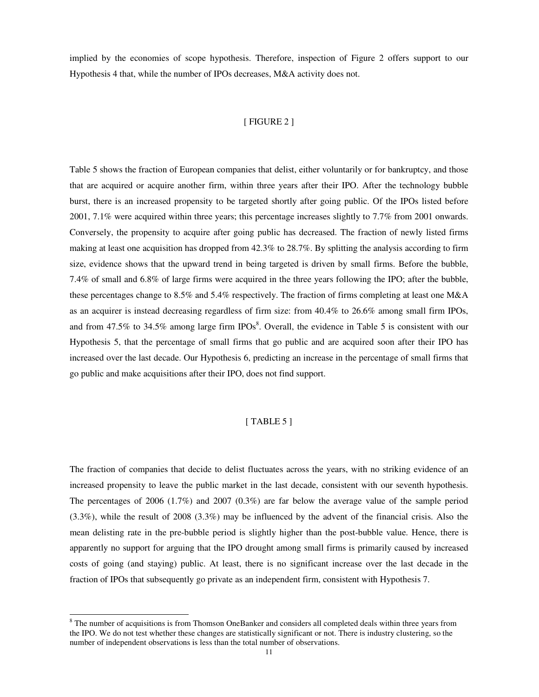implied by the economies of scope hypothesis. Therefore, inspection of Figure 2 offers support to our Hypothesis 4 that, while the number of IPOs decreases, M&A activity does not.

## [ FIGURE 2 ]

Table 5 shows the fraction of European companies that delist, either voluntarily or for bankruptcy, and those that are acquired or acquire another firm, within three years after their IPO. After the technology bubble burst, there is an increased propensity to be targeted shortly after going public. Of the IPOs listed before 2001, 7.1% were acquired within three years; this percentage increases slightly to 7.7% from 2001 onwards. Conversely, the propensity to acquire after going public has decreased. The fraction of newly listed firms making at least one acquisition has dropped from 42.3% to 28.7%. By splitting the analysis according to firm size, evidence shows that the upward trend in being targeted is driven by small firms. Before the bubble, 7.4% of small and 6.8% of large firms were acquired in the three years following the IPO; after the bubble, these percentages change to 8.5% and 5.4% respectively. The fraction of firms completing at least one M&A as an acquirer is instead decreasing regardless of firm size: from 40.4% to 26.6% among small firm IPOs, and from 47.5% to 34.5% among large firm IPOs<sup>8</sup>. Overall, the evidence in Table 5 is consistent with our Hypothesis 5, that the percentage of small firms that go public and are acquired soon after their IPO has increased over the last decade. Our Hypothesis 6, predicting an increase in the percentage of small firms that go public and make acquisitions after their IPO, does not find support.

# [ TABLE 5 ]

The fraction of companies that decide to delist fluctuates across the years, with no striking evidence of an increased propensity to leave the public market in the last decade, consistent with our seventh hypothesis. The percentages of 2006 (1.7%) and 2007 (0.3%) are far below the average value of the sample period (3.3%), while the result of 2008 (3.3%) may be influenced by the advent of the financial crisis. Also the mean delisting rate in the pre-bubble period is slightly higher than the post-bubble value. Hence, there is apparently no support for arguing that the IPO drought among small firms is primarily caused by increased costs of going (and staying) public. At least, there is no significant increase over the last decade in the fraction of IPOs that subsequently go private as an independent firm, consistent with Hypothesis 7.

l

<sup>&</sup>lt;sup>8</sup> The number of acquisitions is from Thomson OneBanker and considers all completed deals within three years from the IPO. We do not test whether these changes are statistically significant or not. There is industry clustering, so the number of independent observations is less than the total number of observations.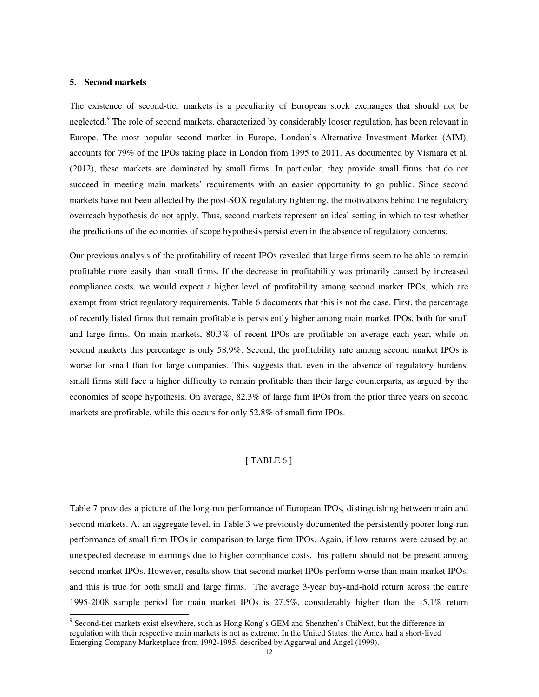## **5. Second markets**

l

The existence of second-tier markets is a peculiarity of European stock exchanges that should not be neglected.<sup>9</sup> The role of second markets, characterized by considerably looser regulation, has been relevant in Europe. The most popular second market in Europe, London's Alternative Investment Market (AIM), accounts for 79% of the IPOs taking place in London from 1995 to 2011. As documented by Vismara et al*.*  (2012), these markets are dominated by small firms. In particular, they provide small firms that do not succeed in meeting main markets' requirements with an easier opportunity to go public. Since second markets have not been affected by the post-SOX regulatory tightening, the motivations behind the regulatory overreach hypothesis do not apply. Thus, second markets represent an ideal setting in which to test whether the predictions of the economies of scope hypothesis persist even in the absence of regulatory concerns.

Our previous analysis of the profitability of recent IPOs revealed that large firms seem to be able to remain profitable more easily than small firms. If the decrease in profitability was primarily caused by increased compliance costs, we would expect a higher level of profitability among second market IPOs, which are exempt from strict regulatory requirements. Table 6 documents that this is not the case. First, the percentage of recently listed firms that remain profitable is persistently higher among main market IPOs, both for small and large firms. On main markets, 80.3% of recent IPOs are profitable on average each year, while on second markets this percentage is only 58.9%. Second, the profitability rate among second market IPOs is worse for small than for large companies. This suggests that, even in the absence of regulatory burdens, small firms still face a higher difficulty to remain profitable than their large counterparts, as argued by the economies of scope hypothesis. On average, 82.3% of large firm IPOs from the prior three years on second markets are profitable, while this occurs for only 52.8% of small firm IPOs.

## [ TABLE 6 ]

Table 7 provides a picture of the long-run performance of European IPOs, distinguishing between main and second markets. At an aggregate level, in Table 3 we previously documented the persistently poorer long-run performance of small firm IPOs in comparison to large firm IPOs. Again, if low returns were caused by an unexpected decrease in earnings due to higher compliance costs, this pattern should not be present among second market IPOs. However, results show that second market IPOs perform worse than main market IPOs, and this is true for both small and large firms. The average 3-year buy-and-hold return across the entire 1995-2008 sample period for main market IPOs is 27.5%, considerably higher than the -5.1% return

<sup>&</sup>lt;sup>9</sup> Second-tier markets exist elsewhere, such as Hong Kong's GEM and Shenzhen's ChiNext, but the difference in regulation with their respective main markets is not as extreme. In the United States, the Amex had a short-lived Emerging Company Marketplace from 1992-1995, described by Aggarwal and Angel (1999).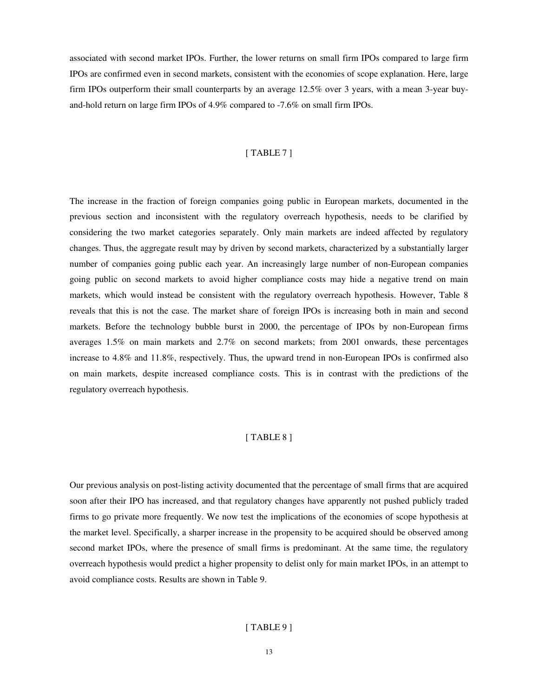associated with second market IPOs. Further, the lower returns on small firm IPOs compared to large firm IPOs are confirmed even in second markets, consistent with the economies of scope explanation. Here, large firm IPOs outperform their small counterparts by an average 12.5% over 3 years, with a mean 3-year buyand-hold return on large firm IPOs of 4.9% compared to -7.6% on small firm IPOs.

## [ TABLE 7 ]

The increase in the fraction of foreign companies going public in European markets, documented in the previous section and inconsistent with the regulatory overreach hypothesis, needs to be clarified by considering the two market categories separately. Only main markets are indeed affected by regulatory changes. Thus, the aggregate result may by driven by second markets, characterized by a substantially larger number of companies going public each year. An increasingly large number of non-European companies going public on second markets to avoid higher compliance costs may hide a negative trend on main markets, which would instead be consistent with the regulatory overreach hypothesis. However, Table 8 reveals that this is not the case. The market share of foreign IPOs is increasing both in main and second markets. Before the technology bubble burst in 2000, the percentage of IPOs by non-European firms averages 1.5% on main markets and 2.7% on second markets; from 2001 onwards, these percentages increase to 4.8% and 11.8%, respectively. Thus, the upward trend in non-European IPOs is confirmed also on main markets, despite increased compliance costs. This is in contrast with the predictions of the regulatory overreach hypothesis.

## [ TABLE 8 ]

Our previous analysis on post-listing activity documented that the percentage of small firms that are acquired soon after their IPO has increased, and that regulatory changes have apparently not pushed publicly traded firms to go private more frequently. We now test the implications of the economies of scope hypothesis at the market level. Specifically, a sharper increase in the propensity to be acquired should be observed among second market IPOs, where the presence of small firms is predominant. At the same time, the regulatory overreach hypothesis would predict a higher propensity to delist only for main market IPOs, in an attempt to avoid compliance costs. Results are shown in Table 9.

## [ TABLE 9 ]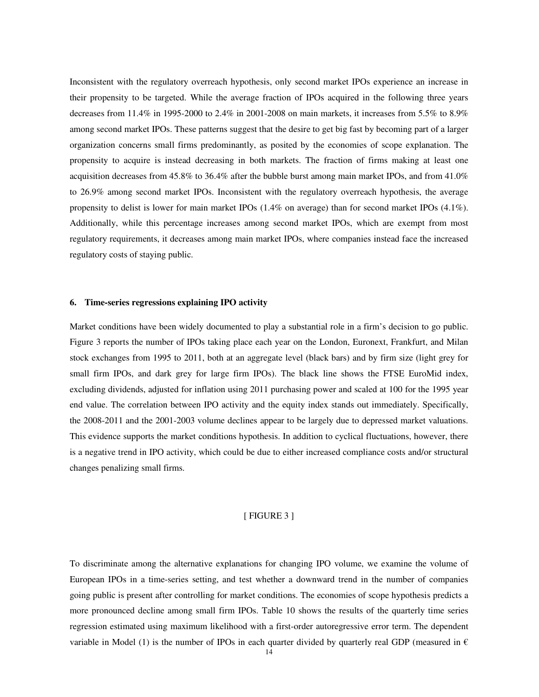Inconsistent with the regulatory overreach hypothesis, only second market IPOs experience an increase in their propensity to be targeted. While the average fraction of IPOs acquired in the following three years decreases from 11.4% in 1995-2000 to 2.4% in 2001-2008 on main markets, it increases from 5.5% to 8.9% among second market IPOs. These patterns suggest that the desire to get big fast by becoming part of a larger organization concerns small firms predominantly, as posited by the economies of scope explanation. The propensity to acquire is instead decreasing in both markets. The fraction of firms making at least one acquisition decreases from 45.8% to 36.4% after the bubble burst among main market IPOs, and from 41.0% to 26.9% among second market IPOs. Inconsistent with the regulatory overreach hypothesis, the average propensity to delist is lower for main market IPOs (1.4% on average) than for second market IPOs (4.1%). Additionally, while this percentage increases among second market IPOs, which are exempt from most regulatory requirements, it decreases among main market IPOs, where companies instead face the increased regulatory costs of staying public.

### **6. Time-series regressions explaining IPO activity**

Market conditions have been widely documented to play a substantial role in a firm's decision to go public. Figure 3 reports the number of IPOs taking place each year on the London, Euronext, Frankfurt, and Milan stock exchanges from 1995 to 2011, both at an aggregate level (black bars) and by firm size (light grey for small firm IPOs, and dark grey for large firm IPOs). The black line shows the FTSE EuroMid index, excluding dividends, adjusted for inflation using 2011 purchasing power and scaled at 100 for the 1995 year end value. The correlation between IPO activity and the equity index stands out immediately. Specifically, the 2008-2011 and the 2001-2003 volume declines appear to be largely due to depressed market valuations. This evidence supports the market conditions hypothesis. In addition to cyclical fluctuations, however, there is a negative trend in IPO activity, which could be due to either increased compliance costs and/or structural changes penalizing small firms.

## [ FIGURE 3 ]

To discriminate among the alternative explanations for changing IPO volume, we examine the volume of European IPOs in a time-series setting, and test whether a downward trend in the number of companies going public is present after controlling for market conditions. The economies of scope hypothesis predicts a more pronounced decline among small firm IPOs. Table 10 shows the results of the quarterly time series regression estimated using maximum likelihood with a first-order autoregressive error term. The dependent variable in Model (1) is the number of IPOs in each quarter divided by quarterly real GDP (measured in  $\epsilon$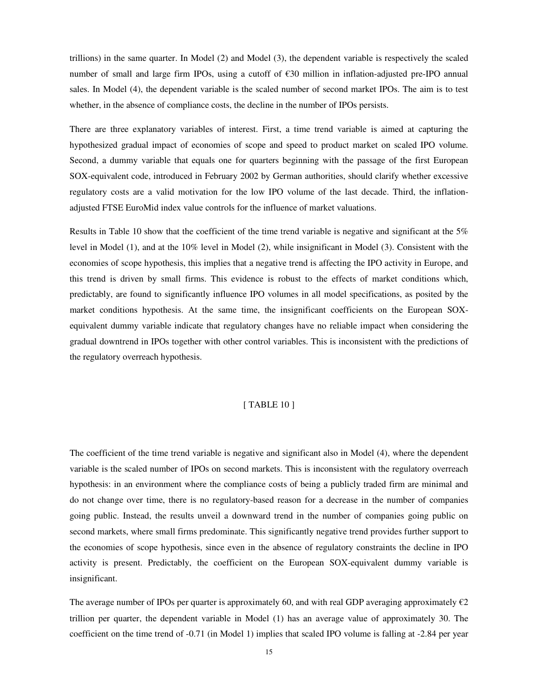trillions) in the same quarter. In Model (2) and Model (3), the dependent variable is respectively the scaled number of small and large firm IPOs, using a cutoff of  $\epsilon$ 30 million in inflation-adjusted pre-IPO annual sales. In Model (4), the dependent variable is the scaled number of second market IPOs. The aim is to test whether, in the absence of compliance costs, the decline in the number of IPOs persists.

There are three explanatory variables of interest. First, a time trend variable is aimed at capturing the hypothesized gradual impact of economies of scope and speed to product market on scaled IPO volume. Second, a dummy variable that equals one for quarters beginning with the passage of the first European SOX-equivalent code, introduced in February 2002 by German authorities, should clarify whether excessive regulatory costs are a valid motivation for the low IPO volume of the last decade. Third, the inflationadjusted FTSE EuroMid index value controls for the influence of market valuations.

Results in Table 10 show that the coefficient of the time trend variable is negative and significant at the 5% level in Model (1), and at the 10% level in Model (2), while insignificant in Model (3). Consistent with the economies of scope hypothesis, this implies that a negative trend is affecting the IPO activity in Europe, and this trend is driven by small firms. This evidence is robust to the effects of market conditions which, predictably, are found to significantly influence IPO volumes in all model specifications, as posited by the market conditions hypothesis. At the same time, the insignificant coefficients on the European SOXequivalent dummy variable indicate that regulatory changes have no reliable impact when considering the gradual downtrend in IPOs together with other control variables. This is inconsistent with the predictions of the regulatory overreach hypothesis.

### [ TABLE 10 ]

The coefficient of the time trend variable is negative and significant also in Model (4), where the dependent variable is the scaled number of IPOs on second markets. This is inconsistent with the regulatory overreach hypothesis: in an environment where the compliance costs of being a publicly traded firm are minimal and do not change over time, there is no regulatory-based reason for a decrease in the number of companies going public. Instead, the results unveil a downward trend in the number of companies going public on second markets, where small firms predominate. This significantly negative trend provides further support to the economies of scope hypothesis, since even in the absence of regulatory constraints the decline in IPO activity is present. Predictably, the coefficient on the European SOX-equivalent dummy variable is insignificant.

The average number of IPOs per quarter is approximately 60, and with real GDP averaging approximately  $\epsilon_2$ trillion per quarter, the dependent variable in Model (1) has an average value of approximately 30. The coefficient on the time trend of -0.71 (in Model 1) implies that scaled IPO volume is falling at -2.84 per year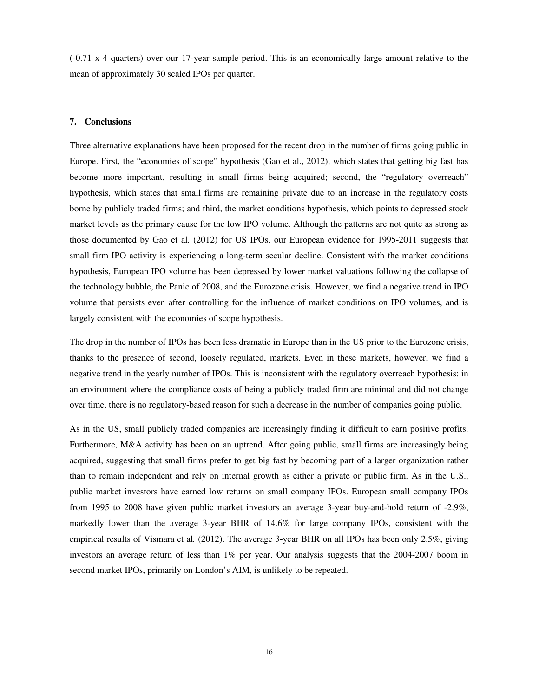(-0.71 x 4 quarters) over our 17-year sample period. This is an economically large amount relative to the mean of approximately 30 scaled IPOs per quarter.

## **7. Conclusions**

Three alternative explanations have been proposed for the recent drop in the number of firms going public in Europe. First, the "economies of scope" hypothesis (Gao et al., 2012), which states that getting big fast has become more important, resulting in small firms being acquired; second, the "regulatory overreach" hypothesis, which states that small firms are remaining private due to an increase in the regulatory costs borne by publicly traded firms; and third, the market conditions hypothesis, which points to depressed stock market levels as the primary cause for the low IPO volume. Although the patterns are not quite as strong as those documented by Gao et al*.* (2012) for US IPOs, our European evidence for 1995-2011 suggests that small firm IPO activity is experiencing a long-term secular decline. Consistent with the market conditions hypothesis, European IPO volume has been depressed by lower market valuations following the collapse of the technology bubble, the Panic of 2008, and the Eurozone crisis. However, we find a negative trend in IPO volume that persists even after controlling for the influence of market conditions on IPO volumes, and is largely consistent with the economies of scope hypothesis.

The drop in the number of IPOs has been less dramatic in Europe than in the US prior to the Eurozone crisis, thanks to the presence of second, loosely regulated, markets. Even in these markets, however, we find a negative trend in the yearly number of IPOs. This is inconsistent with the regulatory overreach hypothesis: in an environment where the compliance costs of being a publicly traded firm are minimal and did not change over time, there is no regulatory-based reason for such a decrease in the number of companies going public.

As in the US, small publicly traded companies are increasingly finding it difficult to earn positive profits. Furthermore, M&A activity has been on an uptrend. After going public, small firms are increasingly being acquired, suggesting that small firms prefer to get big fast by becoming part of a larger organization rather than to remain independent and rely on internal growth as either a private or public firm. As in the U.S., public market investors have earned low returns on small company IPOs. European small company IPOs from 1995 to 2008 have given public market investors an average 3-year buy-and-hold return of -2.9%, markedly lower than the average 3-year BHR of 14.6% for large company IPOs, consistent with the empirical results of Vismara et al*.* (2012). The average 3-year BHR on all IPOs has been only 2.5%, giving investors an average return of less than 1% per year. Our analysis suggests that the 2004-2007 boom in second market IPOs, primarily on London's AIM, is unlikely to be repeated.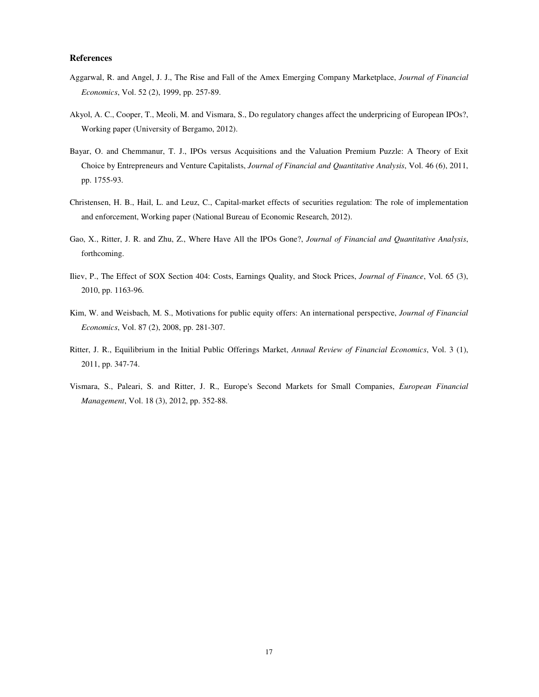## **References**

- Aggarwal, R. and Angel, J. J., The Rise and Fall of the Amex Emerging Company Marketplace, *Journal of Financial Economics*, Vol. 52 (2), 1999, pp. 257-89.
- Akyol, A. C., Cooper, T., Meoli, M. and Vismara, S., Do regulatory changes affect the underpricing of European IPOs?, Working paper (University of Bergamo, 2012).
- Bayar, O. and Chemmanur, T. J., IPOs versus Acquisitions and the Valuation Premium Puzzle: A Theory of Exit Choice by Entrepreneurs and Venture Capitalists, *Journal of Financial and Quantitative Analysis*, Vol. 46 (6), 2011, pp. 1755-93.
- Christensen, H. B., Hail, L. and Leuz, C., Capital-market effects of securities regulation: The role of implementation and enforcement, Working paper (National Bureau of Economic Research, 2012).
- Gao, X., Ritter, J. R. and Zhu, Z., Where Have All the IPOs Gone?, *Journal of Financial and Quantitative Analysis*, forthcoming.
- Iliev, P., The Effect of SOX Section 404: Costs, Earnings Quality, and Stock Prices, *Journal of Finance*, Vol. 65 (3), 2010, pp. 1163-96.
- Kim, W. and Weisbach, M. S., Motivations for public equity offers: An international perspective, *Journal of Financial Economics*, Vol. 87 (2), 2008, pp. 281-307.
- Ritter, J. R., Equilibrium in the Initial Public Offerings Market, *Annual Review of Financial Economics*, Vol. 3 (1), 2011, pp. 347-74.
- Vismara, S., Paleari, S. and Ritter, J. R., Europe's Second Markets for Small Companies, *European Financial Management*, Vol. 18 (3), 2012, pp. 352-88.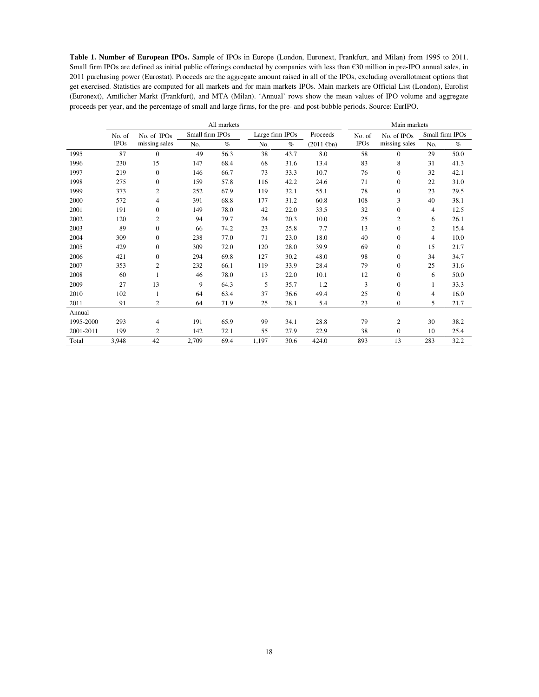**Table 1. Number of European IPOs.** Sample of IPOs in Europe (London, Euronext, Frankfurt, and Milan) from 1995 to 2011. Small firm IPOs are defined as initial public offerings conducted by companies with less than €30 million in pre-IPO annual sales, in 2011 purchasing power (Eurostat). Proceeds are the aggregate amount raised in all of the IPOs, excluding overallotment options that get exercised. Statistics are computed for all markets and for main markets IPOs. Main markets are Official List (London), Eurolist (Euronext), Amtlicher Markt (Frankfurt), and MTA (Milan). 'Annual' rows show the mean values of IPO volume and aggregate proceeds per year, and the percentage of small and large firms, for the pre- and post-bubble periods. Source: EurIPO.

|           | All markets |                  |                 |      |                 |      |                      |             | Main markets     |                |                 |  |  |
|-----------|-------------|------------------|-----------------|------|-----------------|------|----------------------|-------------|------------------|----------------|-----------------|--|--|
|           | No. of      | No. of IPOs      | Small firm IPOs |      | Large firm IPOs |      | Proceeds             | No. of      | No. of IPOs      |                | Small firm IPOs |  |  |
|           | <b>IPOs</b> | missing sales    | No.             | $\%$ | No.             | $\%$ | $(2011 \text{ Ebn})$ | <b>IPOs</b> | missing sales    | No.            | $\%$            |  |  |
| 1995      | 87          | $\Omega$         | 49              | 56.3 | 38              | 43.7 | 8.0                  | 58          | $\Omega$         | 29             | 50.0            |  |  |
| 1996      | 230         | 15               | 147             | 68.4 | 68              | 31.6 | 13.4                 | 83          | 8                | 31             | 41.3            |  |  |
| 1997      | 219         | $\mathbf{0}$     | 146             | 66.7 | 73              | 33.3 | 10.7                 | 76          | $\mathbf{0}$     | 32             | 42.1            |  |  |
| 1998      | 275         | $\boldsymbol{0}$ | 159             | 57.8 | 116             | 42.2 | 24.6                 | 71          | $\mathbf{0}$     | 22             | 31.0            |  |  |
| 1999      | 373         | $\mathbf{2}$     | 252             | 67.9 | 119             | 32.1 | 55.1                 | 78          | $\mathbf{0}$     | 23             | 29.5            |  |  |
| 2000      | 572         | $\overline{4}$   | 391             | 68.8 | 177             | 31.2 | 60.8                 | 108         | 3                | 40             | 38.1            |  |  |
| 2001      | 191         | $\mathbf{0}$     | 149             | 78.0 | 42              | 22.0 | 33.5                 | 32          | $\boldsymbol{0}$ | $\overline{4}$ | 12.5            |  |  |
| 2002      | 120         | $\mathbf{2}$     | 94              | 79.7 | 24              | 20.3 | 10.0                 | 25          | 2                | 6              | 26.1            |  |  |
| 2003      | 89          | $\mathbf{0}$     | 66              | 74.2 | 23              | 25.8 | 7.7                  | 13          | $\mathbf{0}$     | $\overline{c}$ | 15.4            |  |  |
| 2004      | 309         | $\mathbf{0}$     | 238             | 77.0 | 71              | 23.0 | 18.0                 | 40          | $\mathbf{0}$     | 4              | 10.0            |  |  |
| 2005      | 429         | $\mathbf{0}$     | 309             | 72.0 | 120             | 28.0 | 39.9                 | 69          | $\mathbf{0}$     | 15             | 21.7            |  |  |
| 2006      | 421         | $\mathbf{0}$     | 294             | 69.8 | 127             | 30.2 | 48.0                 | 98          | $\mathbf{0}$     | 34             | 34.7            |  |  |
| 2007      | 353         | $\overline{c}$   | 232             | 66.1 | 119             | 33.9 | 28.4                 | 79          | $\mathbf{0}$     | 25             | 31.6            |  |  |
| 2008      | 60          |                  | 46              | 78.0 | 13              | 22.0 | 10.1                 | 12          | $\mathbf{0}$     | 6              | 50.0            |  |  |
| 2009      | 27          | 13               | 9               | 64.3 | 5               | 35.7 | 1.2                  | 3           | $\mathbf{0}$     | 1              | 33.3            |  |  |
| 2010      | 102         | 1                | 64              | 63.4 | 37              | 36.6 | 49.4                 | 25          | $\mathbf{0}$     | 4              | 16.0            |  |  |
| 2011      | 91          | $\overline{2}$   | 64              | 71.9 | 25              | 28.1 | 5.4                  | 23          | $\mathbf{0}$     | 5              | 21.7            |  |  |
| Annual    |             |                  |                 |      |                 |      |                      |             |                  |                |                 |  |  |
| 1995-2000 | 293         | 4                | 191             | 65.9 | 99              | 34.1 | 28.8                 | 79          | 2                | 30             | 38.2            |  |  |
| 2001-2011 | 199         | $\overline{2}$   | 142             | 72.1 | 55              | 27.9 | 22.9                 | 38          | $\mathbf{0}$     | 10             | 25.4            |  |  |
| Total     | 3.948       | 42               | 2.709           | 69.4 | 1,197           | 30.6 | 424.0                | 893         | 13               | 283            | 32.2            |  |  |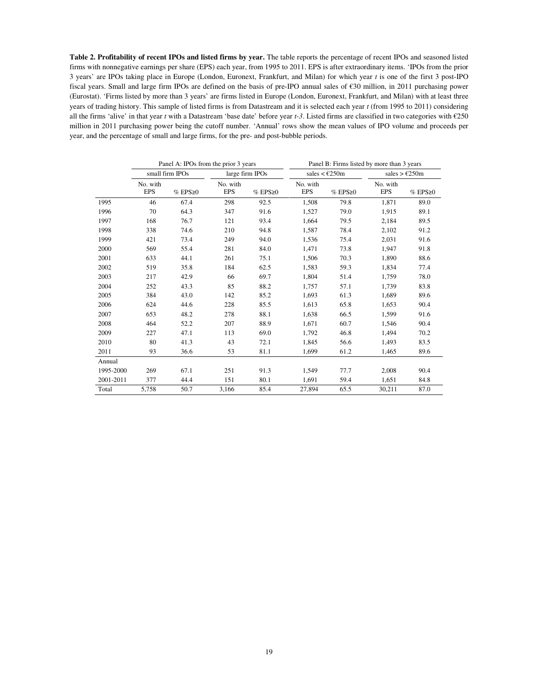**Table 2. Profitability of recent IPOs and listed firms by year.** The table reports the percentage of recent IPOs and seasoned listed firms with nonnegative earnings per share (EPS) each year, from 1995 to 2011. EPS is after extraordinary items. 'IPOs from the prior 3 years' are IPOs taking place in Europe (London, Euronext, Frankfurt, and Milan) for which year *t* is one of the first 3 post-IPO fiscal years. Small and large firm IPOs are defined on the basis of pre-IPO annual sales of €30 million, in 2011 purchasing power (Eurostat). 'Firms listed by more than 3 years' are firms listed in Europe (London, Euronext, Frankfurt, and Milan) with at least three years of trading history. This sample of listed firms is from Datastream and it is selected each year *t* (from 1995 to 2011) considering all the firms 'alive' in that year *t* with a Datastream 'base date' before year *t-3*. Listed firms are classified in two categories with €250 million in 2011 purchasing power being the cutoff number. 'Annual' rows show the mean values of IPO volume and proceeds per year, and the percentage of small and large firms, for the pre- and post-bubble periods.

|           |                        | Panel A: IPOs from the prior 3 years |                        |                  | Panel B: Firms listed by more than 3 years |                        |                        |                         |  |  |
|-----------|------------------------|--------------------------------------|------------------------|------------------|--------------------------------------------|------------------------|------------------------|-------------------------|--|--|
|           |                        | small firm IPOs                      |                        | large firm IPOs  |                                            | sales $\epsilon$ £250m |                        | sales > $\epsilon$ 250m |  |  |
|           | No. with<br><b>EPS</b> | % EPS≥0                              | No. with<br><b>EPS</b> | $%$ EPS $\geq$ 0 | No. with<br><b>EPS</b>                     | $%$ EPS $\geq$ 0       | No. with<br><b>EPS</b> | % EPS≥0                 |  |  |
| 1995      | 46                     | 67.4                                 | 298                    | 92.5             | 1,508                                      | 79.8                   | 1,871                  | 89.0                    |  |  |
| 1996      | 70                     | 64.3                                 | 347                    | 91.6             | 1,527                                      | 79.0                   | 1,915                  | 89.1                    |  |  |
| 1997      | 168                    | 76.7                                 | 121                    | 93.4             | 1,664                                      | 79.5                   | 2,184                  | 89.5                    |  |  |
| 1998      | 338                    | 74.6                                 | 210                    | 94.8             | 1,587                                      | 78.4                   | 2,102                  | 91.2                    |  |  |
| 1999      | 421                    | 73.4                                 | 249                    | 94.0             | 1,536                                      | 75.4                   | 2,031                  | 91.6                    |  |  |
| 2000      | 569                    | 55.4                                 | 281                    | 84.0             | 1,471                                      | 73.8                   | 1,947                  | 91.8                    |  |  |
| 2001      | 633                    | 44.1                                 | 261                    | 75.1             | 1,506                                      | 70.3                   | 1,890                  | 88.6                    |  |  |
| 2002      | 519                    | 35.8                                 | 184                    | 62.5             | 1,583                                      | 59.3                   | 1,834                  | 77.4                    |  |  |
| 2003      | 217                    | 42.9                                 | 66                     | 69.7             | 1,804                                      | 51.4                   | 1,759                  | 78.0                    |  |  |
| 2004      | 252                    | 43.3                                 | 85                     | 88.2             | 1,757                                      | 57.1                   | 1,739                  | 83.8                    |  |  |
| 2005      | 384                    | 43.0                                 | 142                    | 85.2             | 1,693                                      | 61.3                   | 1,689                  | 89.6                    |  |  |
| 2006      | 624                    | 44.6                                 | 228                    | 85.5             | 1,613                                      | 65.8                   | 1,653                  | 90.4                    |  |  |
| 2007      | 653                    | 48.2                                 | 278                    | 88.1             | 1,638                                      | 66.5                   | 1,599                  | 91.6                    |  |  |
| 2008      | 464                    | 52.2                                 | 207                    | 88.9             | 1,671                                      | 60.7                   | 1,546                  | 90.4                    |  |  |
| 2009      | 227                    | 47.1                                 | 113                    | 69.0             | 1,792                                      | 46.8                   | 1,494                  | 70.2                    |  |  |
| 2010      | 80                     | 41.3                                 | 43                     | 72.1             | 1,845                                      | 56.6                   | 1,493                  | 83.5                    |  |  |
| 2011      | 93                     | 36.6                                 | 53                     | 81.1             | 1,699                                      | 61.2                   | 1,465                  | 89.6                    |  |  |
| Annual    |                        |                                      |                        |                  |                                            |                        |                        |                         |  |  |
| 1995-2000 | 269                    | 67.1                                 | 251                    | 91.3             | 1,549                                      | 77.7                   | 2,008                  | 90.4                    |  |  |
| 2001-2011 | 377                    | 44.4                                 | 151                    | 80.1             | 1,691                                      | 59.4                   | 1,651                  | 84.8                    |  |  |
| Total     | 5,758                  | 50.7                                 | 3,166                  | 85.4             | 27,894                                     | 65.5                   | 30,211                 | 87.0                    |  |  |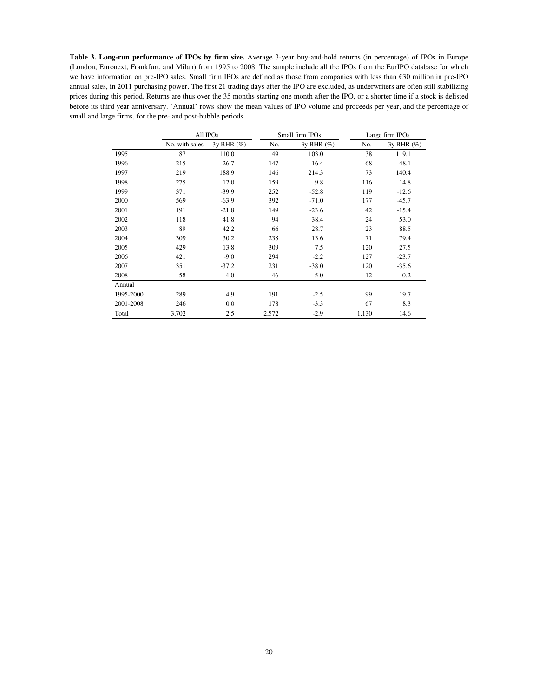**Table 3. Long-run performance of IPOs by firm size.** Average 3-year buy-and-hold returns (in percentage) of IPOs in Europe (London, Euronext, Frankfurt, and Milan) from 1995 to 2008. The sample include all the IPOs from the EurIPO database for which we have information on pre-IPO sales. Small firm IPOs are defined as those from companies with less than €30 million in pre-IPO annual sales, in 2011 purchasing power. The first 21 trading days after the IPO are excluded, as underwriters are often still stabilizing prices during this period. Returns are thus over the 35 months starting one month after the IPO, or a shorter time if a stock is delisted before its third year anniversary. 'Annual' rows show the mean values of IPO volume and proceeds per year, and the percentage of small and large firms, for the pre- and post-bubble periods.

|           | All IPOs       |                 |       | Small firm IPOs |       | Large firm IPOs |  |
|-----------|----------------|-----------------|-------|-----------------|-------|-----------------|--|
|           | No. with sales | $3y$ BHR $(\%)$ | No.   | $3y$ BHR $(\%)$ | No.   | $3y$ BHR $(\%)$ |  |
| 1995      | 87             | 110.0           | 49    | 103.0           | 38    | 119.1           |  |
| 1996      | 215            | 26.7            | 147   | 16.4            | 68    | 48.1            |  |
| 1997      | 219            | 188.9           | 146   | 214.3           | 73    | 140.4           |  |
| 1998      | 275            | 12.0            | 159   | 9.8             | 116   | 14.8            |  |
| 1999      | 371            | $-39.9$         | 252   | $-52.8$         | 119   | $-12.6$         |  |
| 2000      | 569            | $-63.9$         | 392   | $-71.0$         | 177   | $-45.7$         |  |
| 2001      | 191            | $-21.8$         | 149   | $-23.6$         | 42    | $-15.4$         |  |
| 2002      | 118            | 41.8            | 94    | 38.4            | 24    | 53.0            |  |
| 2003      | 89             | 42.2            | 66    | 28.7            | 23    | 88.5            |  |
| 2004      | 309            | 30.2            | 238   | 13.6            | 71    | 79.4            |  |
| 2005      | 429            | 13.8            | 309   | 7.5             | 120   | 27.5            |  |
| 2006      | 421            | $-9.0$          | 294   | $-2.2$          | 127   | $-23.7$         |  |
| 2007      | 351            | $-37.2$         | 231   | $-38.0$         | 120   | $-35.6$         |  |
| 2008      | 58             | $-4.0$          | 46    | $-5.0$          | 12    | $-0.2$          |  |
| Annual    |                |                 |       |                 |       |                 |  |
| 1995-2000 | 289            | 4.9             | 191   | $-2.5$          | 99    | 19.7            |  |
| 2001-2008 | 246            | 0.0             | 178   | $-3.3$          | 67    | 8.3             |  |
| Total     | 3,702          | 2.5             | 2,572 | $-2.9$          | 1,130 | 14.6            |  |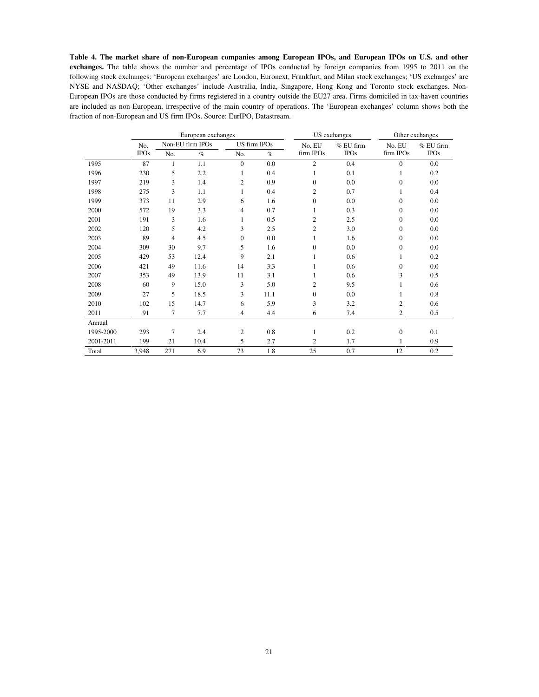**Table 4. The market share of non-European companies among European IPOs, and European IPOs on U.S. and other exchanges.** The table shows the number and percentage of IPOs conducted by foreign companies from 1995 to 2011 on the following stock exchanges: 'European exchanges' are London, Euronext, Frankfurt, and Milan stock exchanges; 'US exchanges' are NYSE and NASDAQ; 'Other exchanges' include Australia, India, Singapore, Hong Kong and Toronto stock exchanges. Non-European IPOs are those conducted by firms registered in a country outside the EU27 area. Firms domiciled in tax-haven countries are included as non-European, irrespective of the main country of operations. The 'European exchanges' column shows both the fraction of non-European and US firm IPOs. Source: EurIPO, Datastream.

|           |             |     | European exchanges |                |              |                | US exchanges | Other exchanges  |             |  |
|-----------|-------------|-----|--------------------|----------------|--------------|----------------|--------------|------------------|-------------|--|
|           | No.         |     | Non-EU firm IPOs   |                | US firm IPOs | No. EU         | $%$ EU firm  | No. EU           | $%$ EU firm |  |
|           | <b>IPOs</b> | No. | $\%$               | No.            | $\%$         | firm IPOs      | <b>IPOs</b>  | firm IPOs        | <b>IPOs</b> |  |
| 1995      | 87          | 1   | 1.1                | $\mathbf{0}$   | 0.0          | $\overline{2}$ | 0.4          | $\overline{0}$   | 0.0         |  |
| 1996      | 230         | 5   | 2.2                | 1              | 0.4          | 1              | 0.1          | $\mathbf{1}$     | 0.2         |  |
| 1997      | 219         | 3   | 1.4                | $\mathfrak{2}$ | 0.9          | $\mathbf{0}$   | 0.0          | $\overline{0}$   | 0.0         |  |
| 1998      | 275         | 3   | 1.1                | 1              | 0.4          | $\overline{2}$ | 0.7          | 1                | 0.4         |  |
| 1999      | 373         | 11  | 2.9                | 6              | 1.6          | $\mathbf{0}$   | 0.0          | $\overline{0}$   | 0.0         |  |
| 2000      | 572         | 19  | 3.3                | 4              | 0.7          | 1              | 0.3          | $\boldsymbol{0}$ | 0.0         |  |
| 2001      | 191         | 3   | 1.6                | 1              | 0.5          | $\overline{2}$ | 2.5          | 0                | 0.0         |  |
| 2002      | 120         | 5   | 4.2                | 3              | 2.5          | $\overline{c}$ | 3.0          | 0                | 0.0         |  |
| 2003      | 89          | 4   | 4.5                | $\mathbf{0}$   | 0.0          | 1              | 1.6          | $\boldsymbol{0}$ | 0.0         |  |
| 2004      | 309         | 30  | 9.7                | 5              | 1.6          | $\mathbf{0}$   | 0.0          | 0                | 0.0         |  |
| 2005      | 429         | 53  | 12.4               | 9              | 2.1          | 1              | 0.6          | $\mathbf{1}$     | 0.2         |  |
| 2006      | 421         | 49  | 11.6               | 14             | 3.3          | $\mathbf{1}$   | 0.6          | $\boldsymbol{0}$ | 0.0         |  |
| 2007      | 353         | 49  | 13.9               | 11             | 3.1          | 1              | 0.6          | 3                | 0.5         |  |
| 2008      | 60          | 9   | 15.0               | 3              | 5.0          | $\overline{2}$ | 9.5          | 1                | 0.6         |  |
| 2009      | 27          | 5   | 18.5               | 3              | 11.1         | $\mathbf{0}$   | 0.0          | 1                | 0.8         |  |
| 2010      | 102         | 15  | 14.7               | 6              | 5.9          | 3              | 3.2          | $\overline{c}$   | 0.6         |  |
| 2011      | 91          | 7   | 7.7                | 4              | 4.4          | 6              | 7.4          | 2                | 0.5         |  |
| Annual    |             |     |                    |                |              |                |              |                  |             |  |
| 1995-2000 | 293         | 7   | 2.4                | $\overline{c}$ | 0.8          | 1              | 0.2          | $\mathbf{0}$     | 0.1         |  |
| 2001-2011 | 199         | 21  | 10.4               | 5              | 2.7          | $\mathbf{2}$   | 1.7          | 1                | 0.9         |  |
| Total     | 3,948       | 271 | 6.9                | 73             | 1.8          | 25             | 0.7          | 12               | 0.2         |  |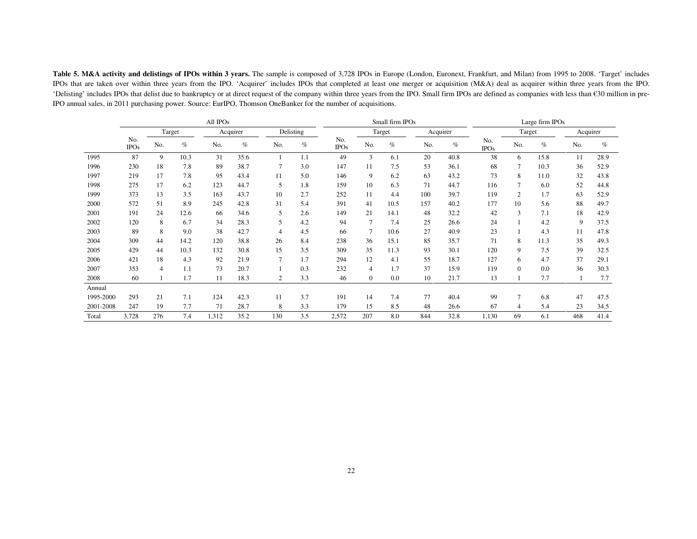**Table 5. M&A activity and delistings of IPOs within 3 years.** The sample is composed of 3,728 IPOs in Europe (London, Euronext, Frankfurt, and Milan) from 1995 to 2008. 'Target' includes IPOs that are taken over within three years from the IPO. 'Acquirer' includes IPOs that completed at least one merger or acquisition (M&A) deal as acquirer within three years from the IPO. 'Delisting' includes IPOs that delist due to bankruptcy or at direct request of the company within three years from the IPO. Small firm IPOs are defined as companies with less than €30 million in pre-IPO annual sales, in 2011 purchasing power. Source: EurIPO, Thomson OneBanker for the number of acquisitions.

|           |                    | All IPOs       |      |       |          |                |           |                    | Small firm IPOs |        |     |          | Large firm IPOs    |                |      |          |      |
|-----------|--------------------|----------------|------|-------|----------|----------------|-----------|--------------------|-----------------|--------|-----|----------|--------------------|----------------|------|----------|------|
|           |                    | Target         |      |       | Acquirer |                | Delisting |                    |                 | Target |     | Acquirer |                    | Target         |      | Acquirer |      |
|           | No.<br><b>IPOs</b> | No.            | $\%$ | No.   | $\%$     | No.            | $\%$      | No.<br><b>IPOs</b> | No.             | $\%$   | No. | $\%$     | No.<br><b>IPOs</b> | No.            | $\%$ | No.      | $\%$ |
| 1995      | 87                 | 9              | 10.3 | 31    | 35.6     |                | 1.1       | 49                 | 3               | 6.1    | 20  | 40.8     | 38                 | 6              | 15.8 | 11       | 28.9 |
| 1996      | 230                | 18             | 7.8  | 89    | 38.7     | $\overline{7}$ | 3.0       | 147                | 11              | 7.5    | 53  | 36.1     | 68                 | 7              | 10.3 | 36       | 52.9 |
| 1997      | 219                | 17             | 7.8  | 95    | 43.4     | 11             | 5.0       | 146                | 9               | 6.2    | 63  | 43.2     | 73                 | 8              | 11.0 | 32       | 43.8 |
| 1998      | 275                | 17             | 6.2  | 123   | 44.7     | 5              | 1.8       | 159                | 10              | 6.3    | 71  | 44.7     | 116                | $\overline{7}$ | 6.0  | 52       | 44.8 |
| 1999      | 373                | 13             | 3.5  | 163   | 43.7     | 10             | 2.7       | 252                | 11              | 4.4    | 100 | 39.7     | 119                | 2              | 1.7  | 63       | 52.9 |
| 2000      | 572                | 51             | 8.9  | 245   | 42.8     | 31             | 5.4       | 391                | 41              | 10.5   | 157 | 40.2     | 177                | 10             | 5.6  | 88       | 49.7 |
| 2001      | 191                | 24             | 12.6 | 66    | 34.6     | 5              | 2.6       | 149                | 21              | 14.1   | 48  | 32.2     | 42                 | 3              | 7.1  | 18       | 42.9 |
| 2002      | 120                | 8              | 6.7  | 34    | 28.3     | 5              | 4.2       | 94                 |                 | 7.4    | 25  | 26.6     | 24                 |                | 4.2  | 9        | 37.5 |
| 2003      | 89                 | 8              | 9.0  | 38    | 42.7     | $\overline{4}$ | 4.5       | 66                 | 7               | 10.6   | 27  | 40.9     | 23                 |                | 4.3  | 11       | 47.8 |
| 2004      | 309                | 44             | 14.2 | 120   | 38.8     | 26             | 8.4       | 238                | 36              | 15.1   | 85  | 35.7     | 71                 | 8              | 11.3 | 35       | 49.3 |
| 2005      | 429                | 44             | 10.3 | 132   | 30.8     | 15             | 3.5       | 309                | 35              | 11.3   | 93  | 30.1     | 120                | 9              | 7.5  | 39       | 32.5 |
| 2006      | 421                | 18             | 4.3  | 92    | 21.9     | $\overline{7}$ | 1.7       | 294                | 12              | 4.1    | 55  | 18.7     | 127                | 6              | 4.7  | 37       | 29.1 |
| 2007      | 353                | $\overline{4}$ | 1.1  | 73    | 20.7     |                | 0.3       | 232                | 4               | 1.7    | 37  | 15.9     | 119                | $\overline{0}$ | 0.0  | 36       | 30.3 |
| 2008      | 60                 |                | 1.7  | 11    | 18.3     | $\mathfrak{2}$ | 3.3       | 46                 | $\overline{0}$  | 0.0    | 10  | 21.7     | 13                 |                | 7.7  |          | 7.7  |
| Annual    |                    |                |      |       |          |                |           |                    |                 |        |     |          |                    |                |      |          |      |
| 1995-2000 | 293                | 21             | 7.1  | 124   | 42.3     | 11             | 3.7       | 191                | 14              | 7.4    | 77  | 40.4     | 99                 | $\overline{7}$ | 6.8  | 47       | 47.5 |
| 2001-2008 | 247                | 19             | 7.7  | 71    | 28.7     | 8              | 3.3       | 179                | 15              | 8.5    | 48  | 26.6     | 67                 | $\overline{4}$ | 5.4  | 23       | 34.5 |
| Total     | 3,728              | 276            | 7.4  | 1,312 | 35.2     | 130            | 3.5       | 2,572              | 207             | 8.0    | 844 | 32.8     | 1,130              | 69             | 6.1  | 468      | 41.4 |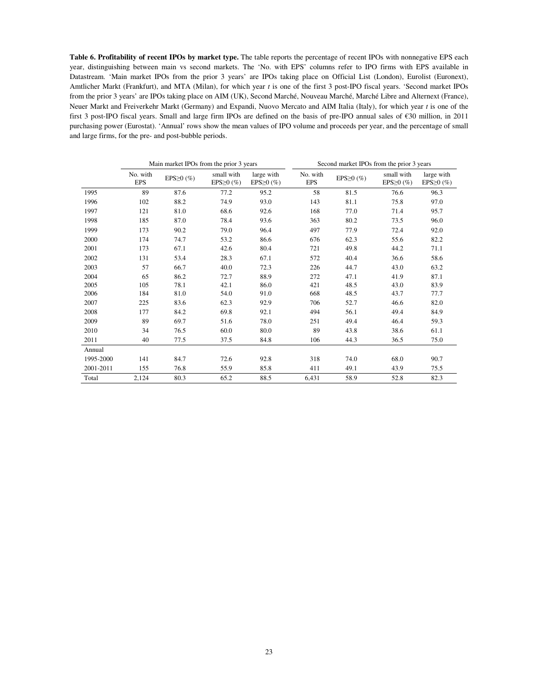**Table 6. Profitability of recent IPOs by market type.** The table reports the percentage of recent IPOs with nonnegative EPS each year, distinguishing between main vs second markets. The 'No. with EPS' columns refer to IPO firms with EPS available in Datastream. 'Main market IPOs from the prior 3 years' are IPOs taking place on Official List (London), Eurolist (Euronext), Amtlicher Markt (Frankfurt), and MTA (Milan), for which year *t* is one of the first 3 post-IPO fiscal years. 'Second market IPOs from the prior 3 years' are IPOs taking place on AIM (UK), Second Marché, Nouveau Marché, Marché Libre and Alternext (France), Neuer Markt and Freiverkehr Markt (Germany) and Expandi, Nuovo Mercato and AIM Italia (Italy), for which year *t* is one of the first 3 post-IPO fiscal years. Small and large firm IPOs are defined on the basis of pre-IPO annual sales of €30 million, in 2011 purchasing power (Eurostat). 'Annual' rows show the mean values of IPO volume and proceeds per year, and the percentage of small and large firms, for the pre- and post-bubble periods.

|           |                        | Main market IPOs from the prior 3 years |                                |                                | Second market IPOs from the prior 3 years |                      |                                |                                |  |  |
|-----------|------------------------|-----------------------------------------|--------------------------------|--------------------------------|-------------------------------------------|----------------------|--------------------------------|--------------------------------|--|--|
|           | No. with<br><b>EPS</b> | EPS $\geq$ 0 (%)                        | small with<br>EPS $\geq$ 0 (%) | large with<br>EPS $\geq$ 0 (%) | No. with<br><b>EPS</b>                    | EPS $\geq$ 0 $(\% )$ | small with<br>EPS $\geq$ 0 (%) | large with<br>EPS $\geq$ 0 (%) |  |  |
| 1995      | 89                     | 87.6                                    | 77.2                           | 95.2                           | 58                                        | 81.5                 | 76.6                           | 96.3                           |  |  |
| 1996      | 102                    | 88.2                                    | 74.9                           | 93.0                           | 143                                       | 81.1                 | 75.8                           | 97.0                           |  |  |
| 1997      | 121                    | 81.0                                    | 68.6                           | 92.6                           | 168                                       | 77.0                 | 71.4                           | 95.7                           |  |  |
| 1998      | 185                    | 87.0                                    | 78.4                           | 93.6                           | 363                                       | 80.2                 | 73.5                           | 96.0                           |  |  |
| 1999      | 173                    | 90.2                                    | 79.0                           | 96.4                           | 497                                       | 77.9                 | 72.4                           | 92.0                           |  |  |
| 2000      | 174                    | 74.7                                    | 53.2                           | 86.6                           | 676                                       | 62.3                 | 55.6                           | 82.2                           |  |  |
| 2001      | 173                    | 67.1                                    | 42.6                           | 80.4                           | 721                                       | 49.8                 | 44.2                           | 71.1                           |  |  |
| 2002      | 131                    | 53.4                                    | 28.3                           | 67.1                           | 572                                       | 40.4                 | 36.6                           | 58.6                           |  |  |
| 2003      | 57                     | 66.7                                    | 40.0                           | 72.3                           | 226                                       | 44.7                 | 43.0                           | 63.2                           |  |  |
| 2004      | 65                     | 86.2                                    | 72.7                           | 88.9                           | 272                                       | 47.1                 | 41.9                           | 87.1                           |  |  |
| 2005      | 105                    | 78.1                                    | 42.1                           | 86.0                           | 421                                       | 48.5                 | 43.0                           | 83.9                           |  |  |
| 2006      | 184                    | 81.0                                    | 54.0                           | 91.0                           | 668                                       | 48.5                 | 43.7                           | 77.7                           |  |  |
| 2007      | 225                    | 83.6                                    | 62.3                           | 92.9                           | 706                                       | 52.7                 | 46.6                           | 82.0                           |  |  |
| 2008      | 177                    | 84.2                                    | 69.8                           | 92.1                           | 494                                       | 56.1                 | 49.4                           | 84.9                           |  |  |
| 2009      | 89                     | 69.7                                    | 51.6                           | 78.0                           | 251                                       | 49.4                 | 46.4                           | 59.3                           |  |  |
| 2010      | 34                     | 76.5                                    | 60.0                           | 80.0                           | 89                                        | 43.8                 | 38.6                           | 61.1                           |  |  |
| 2011      | 40                     | 77.5                                    | 37.5                           | 84.8                           | 106                                       | 44.3                 | 36.5                           | 75.0                           |  |  |
| Annual    |                        |                                         |                                |                                |                                           |                      |                                |                                |  |  |
| 1995-2000 | 141                    | 84.7                                    | 72.6                           | 92.8                           | 318                                       | 74.0                 | 68.0                           | 90.7                           |  |  |
| 2001-2011 | 155                    | 76.8                                    | 55.9                           | 85.8                           | 411                                       | 49.1                 | 43.9                           | 75.5                           |  |  |
| Total     | 2,124                  | 80.3                                    | 65.2                           | 88.5                           | 6,431                                     | 58.9                 | 52.8                           | 82.3                           |  |  |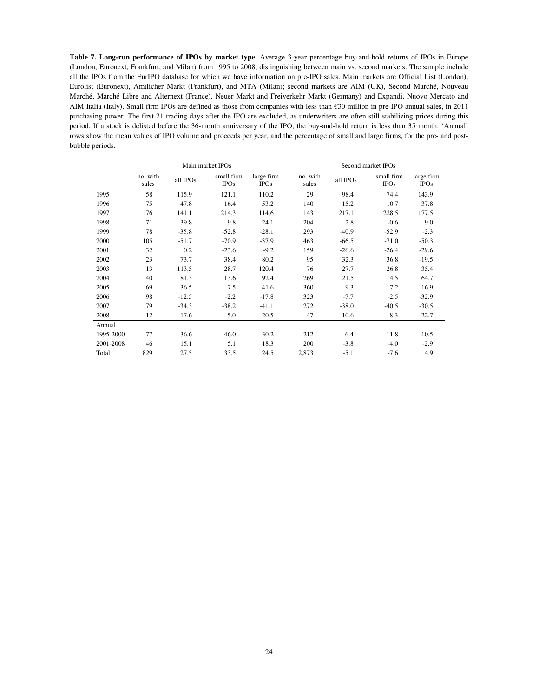**Table 7. Long-run performance of IPOs by market type.** Average 3-year percentage buy-and-hold returns of IPOs in Europe (London, Euronext, Frankfurt, and Milan) from 1995 to 2008, distinguishing between main vs. second markets. The sample include all the IPOs from the EurIPO database for which we have information on pre-IPO sales. Main markets are Official List (London), Eurolist (Euronext), Amtlicher Markt (Frankfurt), and MTA (Milan); second markets are AIM (UK), Second Marché, Nouveau Marché, Marché Libre and Alternext (France), Neuer Markt and Freiverkehr Markt (Germany) and Expandi, Nuovo Mercato and AIM Italia (Italy). Small firm IPOs are defined as those from companies with less than €30 million in pre-IPO annual sales, in 2011 purchasing power. The first 21 trading days after the IPO are excluded, as underwriters are often still stabilizing prices during this period. If a stock is delisted before the 36-month anniversary of the IPO, the buy-and-hold return is less than 35 month. 'Annual' rows show the mean values of IPO volume and proceeds per year, and the percentage of small and large firms, for the pre- and postbubble periods.

|           |                   |          | Main market IPOs          |                           | Second market IPOs |          |                           |                           |  |  |
|-----------|-------------------|----------|---------------------------|---------------------------|--------------------|----------|---------------------------|---------------------------|--|--|
|           | no. with<br>sales | all IPOs | small firm<br><b>IPOs</b> | large firm<br><b>IPOs</b> | no. with<br>sales  | all IPOs | small firm<br><b>IPOs</b> | large firm<br><b>IPOs</b> |  |  |
| 1995      | 58                | 115.9    | 121.1                     | 110.2                     | 29                 | 98.4     | 74.4                      | 143.9                     |  |  |
| 1996      | 75                | 47.8     | 16.4                      | 53.2                      | 140                | 15.2     | 10.7                      | 37.8                      |  |  |
| 1997      | 76                | 141.1    | 214.3                     | 114.6                     | 143                | 217.1    | 228.5                     | 177.5                     |  |  |
| 1998      | 71                | 39.8     | 9.8                       | 24.1                      | 204                | 2.8      | $-0.6$                    | 9.0                       |  |  |
| 1999      | 78                | $-35.8$  | $-52.8$                   | $-28.1$                   | 293                | $-40.9$  | $-52.9$                   | $-2.3$                    |  |  |
| 2000      | 105               | $-51.7$  | $-70.9$                   | $-37.9$                   | 463                | $-66.5$  | $-71.0$                   | $-50.3$                   |  |  |
| 2001      | 32                | 0.2      | $-23.6$                   | $-9.2$                    | 159                | $-26.6$  | $-26.4$                   | $-29.6$                   |  |  |
| 2002      | 23                | 73.7     | 38.4                      | 80.2                      | 95                 | 32.3     | 36.8                      | $-19.5$                   |  |  |
| 2003      | 13                | 113.5    | 28.7                      | 120.4                     | 76                 | 27.7     | 26.8                      | 35.4                      |  |  |
| 2004      | 40                | 81.3     | 13.6                      | 92.4                      | 269                | 21.5     | 14.5                      | 64.7                      |  |  |
| 2005      | 69                | 36.5     | 7.5                       | 41.6                      | 360                | 9.3      | 7.2                       | 16.9                      |  |  |
| 2006      | 98                | $-12.5$  | $-2.2$                    | $-17.8$                   | 323                | $-7.7$   | $-2.5$                    | $-32.9$                   |  |  |
| 2007      | 79                | $-34.3$  | $-38.2$                   | $-41.1$                   | 272                | $-38.0$  | $-40.5$                   | $-30.5$                   |  |  |
| 2008      | 12                | 17.6     | $-5.0$                    | 20.5                      | 47                 | $-10.6$  | $-8.3$                    | $-22.7$                   |  |  |
| Annual    |                   |          |                           |                           |                    |          |                           |                           |  |  |
| 1995-2000 | 77                | 36.6     | 46.0                      | 30.2                      | 212                | $-6.4$   | $-11.8$                   | 10.5                      |  |  |
| 2001-2008 | 46                | 15.1     | 5.1                       | 18.3                      | 200                | $-3.8$   | $-4.0$                    | $-2.9$                    |  |  |
| Total     | 829               | 27.5     | 33.5                      | 24.5                      | 2,873              | $-5.1$   | $-7.6$                    | 4.9                       |  |  |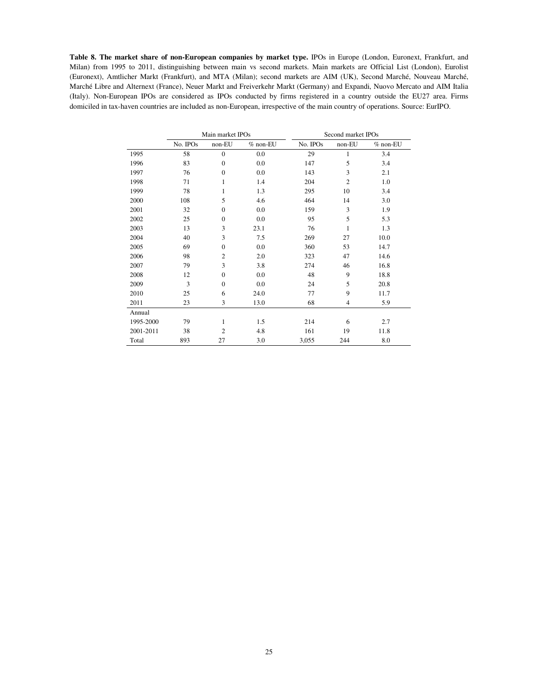Table 8. The market share of non-European companies by market type. IPOs in Europe (London, Euronext, Frankfurt, and Milan) from 1995 to 2011, distinguishing between main vs second markets. Main markets are Official List (London), Eurolist (Euronext), Amtlicher Markt (Frankfurt), and MTA (Milan); second markets are AIM (UK), Second Marché, Nouveau Marché, Marché Libre and Alternext (France), Neuer Markt and Freiverkehr Markt (Germany) and Expandi, Nuovo Mercato and AIM Italia (Italy). Non-European IPOs are considered as IPOs conducted by firms registered in a country outside the EU27 area. Firms domiciled in tax-haven countries are included as non-European, irrespective of the main country of operations. Source: EurIPO.

|           |          | Main market IPOs |             |          | Second market IPOs |          |  |  |  |
|-----------|----------|------------------|-------------|----------|--------------------|----------|--|--|--|
|           | No. IPOs | non-EU           | $\%$ non-EU | No. IPOs | non-EU             | % non-EU |  |  |  |
| 1995      | 58       | $\mathbf{0}$     | 0.0         | 29       | 1                  | 3.4      |  |  |  |
| 1996      | 83       | $\mathbf{0}$     | 0.0         | 147      | 5                  | 3.4      |  |  |  |
| 1997      | 76       | $\mathbf{0}$     | 0.0         | 143      | 3                  | 2.1      |  |  |  |
| 1998      | 71       | 1                | 1.4         | 204      | $\overline{c}$     | 1.0      |  |  |  |
| 1999      | 78       | 1                | 1.3         | 295      | 10                 | 3.4      |  |  |  |
| 2000      | 108      | 5                | 4.6         | 464      | 14                 | 3.0      |  |  |  |
| 2001      | 32       | $\mathbf{0}$     | 0.0         | 159      | 3                  | 1.9      |  |  |  |
| 2002      | 25       | $\mathbf{0}$     | 0.0         | 95       | 5                  | 5.3      |  |  |  |
| 2003      | 13       | 3                | 23.1        | 76       | $\mathbf{1}$       | 1.3      |  |  |  |
| 2004      | 40       | 3                | 7.5         | 269      | 27                 | 10.0     |  |  |  |
| 2005      | 69       | $\mathbf{0}$     | 0.0         | 360      | 53                 | 14.7     |  |  |  |
| 2006      | 98       | $\overline{2}$   | 2.0         | 323      | 47                 | 14.6     |  |  |  |
| 2007      | 79       | 3                | 3.8         | 274      | 46                 | 16.8     |  |  |  |
| 2008      | 12       | $\mathbf{0}$     | 0.0         | 48       | 9                  | 18.8     |  |  |  |
| 2009      | 3        | $\mathbf{0}$     | 0.0         | 24       | 5                  | 20.8     |  |  |  |
| 2010      | 25       | 6                | 24.0        | 77       | 9                  | 11.7     |  |  |  |
| 2011      | 23       | 3                | 13.0        | 68       | 4                  | 5.9      |  |  |  |
| Annual    |          |                  |             |          |                    |          |  |  |  |
| 1995-2000 | 79       | $\mathbf{1}$     | 1.5         | 214      | 6                  | 2.7      |  |  |  |
| 2001-2011 | 38       | $\overline{2}$   | 4.8         | 161      | 19                 | 11.8     |  |  |  |
| Total     | 893      | 27               | 3.0         | 3,055    | 244                | 8.0      |  |  |  |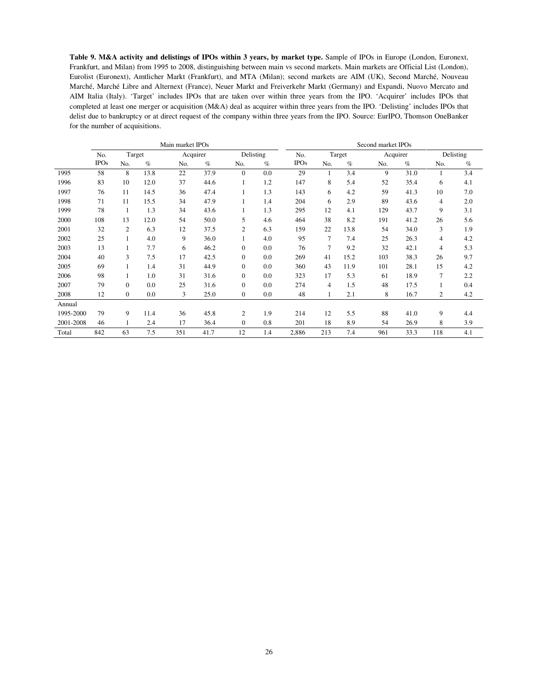**Table 9. M&A activity and delistings of IPOs within 3 years, by market type.** Sample of IPOs in Europe (London, Euronext, Frankfurt, and Milan) from 1995 to 2008, distinguishing between main vs second markets. Main markets are Official List (London), Eurolist (Euronext), Amtlicher Markt (Frankfurt), and MTA (Milan); second markets are AIM (UK), Second Marché, Nouveau Marché, Marché Libre and Alternext (France), Neuer Markt and Freiverkehr Markt (Germany) and Expandi, Nuovo Mercato and AIM Italia (Italy). 'Target' includes IPOs that are taken over within three years from the IPO. 'Acquirer' includes IPOs that completed at least one merger or acquisition (M&A) deal as acquirer within three years from the IPO. 'Delisting' includes IPOs that delist due to bankruptcy or at direct request of the company within three years from the IPO. Source: EurIPO, Thomson OneBanker for the number of acquisitions.

|           |             |                |      | Main market IPOs |      |                |         | Second market IPOs |                |        |          |      |     |           |
|-----------|-------------|----------------|------|------------------|------|----------------|---------|--------------------|----------------|--------|----------|------|-----|-----------|
|           | No.         | Target         |      | Acquirer         |      | Delisting      |         | No.                |                | Target | Acquirer |      |     | Delisting |
|           | <b>IPOs</b> | No.            | $\%$ | No.              | $\%$ | No.            | $\%$    | <b>IPOs</b>        | No.            | $\%$   | No.      | $\%$ | No. | $\%$      |
| 1995      | 58          | 8              | 13.8 | 22               | 37.9 | $\Omega$       | 0.0     | 29                 |                | 3.4    | 9        | 31.0 | 1   | 3.4       |
| 1996      | 83          | 10             | 12.0 | 37               | 44.6 |                | 1.2     | 147                | 8              | 5.4    | 52       | 35.4 | 6   | 4.1       |
| 1997      | 76          | 11             | 14.5 | 36               | 47.4 |                | 1.3     | 143                | 6              | 4.2    | 59       | 41.3 | 10  | 7.0       |
| 1998      | 71          | 11             | 15.5 | 34               | 47.9 |                | 1.4     | 204                | 6              | 2.9    | 89       | 43.6 | 4   | 2.0       |
| 1999      | 78          | 1              | 1.3  | 34               | 43.6 |                | 1.3     | 295                | 12             | 4.1    | 129      | 43.7 | 9   | 3.1       |
| 2000      | 108         | 13             | 12.0 | 54               | 50.0 | 5              | 4.6     | 464                | 38             | 8.2    | 191      | 41.2 | 26  | 5.6       |
| 2001      | 32          | 2              | 6.3  | 12               | 37.5 | 2              | 6.3     | 159                | 22             | 13.8   | 54       | 34.0 | 3   | 1.9       |
| 2002      | 25          |                | 4.0  | 9                | 36.0 |                | 4.0     | 95                 | $\tau$         | 7.4    | 25       | 26.3 | 4   | 4.2       |
| 2003      | 13          | 1              | 7.7  | 6                | 46.2 | $\theta$       | 0.0     | 76                 | 7              | 9.2    | 32       | 42.1 | 4   | 5.3       |
| 2004      | 40          | 3              | 7.5  | 17               | 42.5 | $\theta$       | 0.0     | 269                | 41             | 15.2   | 103      | 38.3 | 26  | 9.7       |
| 2005      | 69          | 1              | 1.4  | 31               | 44.9 | $\overline{0}$ | 0.0     | 360                | 43             | 11.9   | 101      | 28.1 | 15  | 4.2       |
| 2006      | 98          |                | 1.0  | 31               | 31.6 | $\Omega$       | 0.0     | 323                | 17             | 5.3    | 61       | 18.9 | 7   | 2.2       |
| 2007      | 79          | $\overline{0}$ | 0.0  | 25               | 31.6 | $\overline{0}$ | 0.0     | 274                | $\overline{4}$ | 1.5    | 48       | 17.5 | 1   | 0.4       |
| 2008      | 12          | $\overline{0}$ | 0.0  | 3                | 25.0 | $\theta$       | $0.0\,$ | 48                 | 1              | 2.1    | 8        | 16.7 | 2   | 4.2       |
| Annual    |             |                |      |                  |      |                |         |                    |                |        |          |      |     |           |
| 1995-2000 | 79          | 9              | 11.4 | 36               | 45.8 | 2              | 1.9     | 214                | 12             | 5.5    | 88       | 41.0 | 9   | 4.4       |
| 2001-2008 | 46          | 1              | 2.4  | 17               | 36.4 | $\Omega$       | 0.8     | 201                | 18             | 8.9    | 54       | 26.9 | 8   | 3.9       |
| Total     | 842         | 63             | 7.5  | 351              | 41.7 | 12             | 1.4     | 2,886              | 213            | 7.4    | 961      | 33.3 | 118 | 4.1       |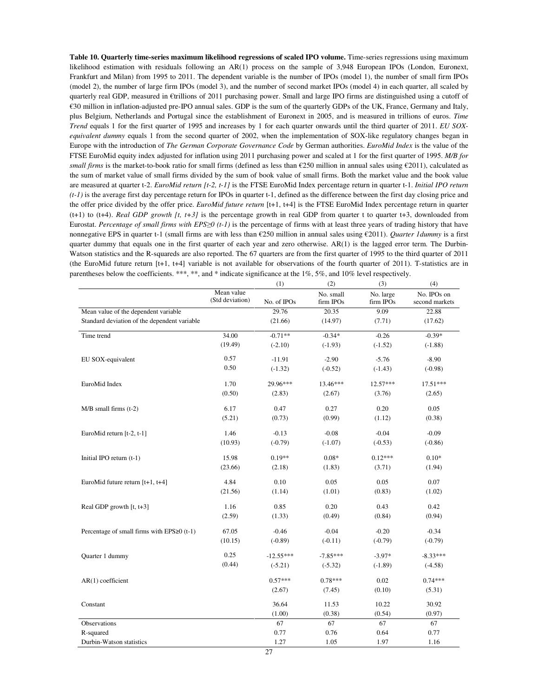**Table 10. Quarterly time-series maximum likelihood regressions of scaled IPO volume.** Time-series regressions using maximum likelihood estimation with residuals following an AR(1) process on the sample of 3,948 European IPOs (London, Euronext, Frankfurt and Milan) from 1995 to 2011. The dependent variable is the number of IPOs (model 1), the number of small firm IPOs (model 2), the number of large firm IPOs (model 3), and the number of second market IPOs (model 4) in each quarter, all scaled by quarterly real GDP, measured in €trillions of 2011 purchasing power. Small and large IPO firms are distinguished using a cutoff of €30 million in inflation-adjusted pre-IPO annual sales. GDP is the sum of the quarterly GDPs of the UK, France, Germany and Italy, plus Belgium, Netherlands and Portugal since the establishment of Euronext in 2005, and is measured in trillions of euros. *Time Trend* equals 1 for the first quarter of 1995 and increases by 1 for each quarter onwards until the third quarter of 2011. *EU SOXequivalent dummy* equals 1 from the second quarter of 2002, when the implementation of SOX-like regulatory changes began in Europe with the introduction of *The German Corporate Governance Code* by German authorities. *EuroMid Index* is the value of the FTSE EuroMid equity index adjusted for inflation using 2011 purchasing power and scaled at 1 for the first quarter of 1995. *M/B for small firms* is the market-to-book ratio for small firms (defined as less than €250 million in annual sales using €2011), calculated as the sum of market value of small firms divided by the sum of book value of small firms. Both the market value and the book value are measured at quarter t-2. *EuroMid return [t-2, t-1]* is the FTSE EuroMid Index percentage return in quarter t-1. *Initial IPO return (t-1)* is the average first day percentage return for IPOs in quarter t-1, defined as the difference between the first day closing price and the offer price divided by the offer price. *EuroMid future return* [t+1, t+4] is the FTSE EuroMid Index percentage return in quarter  $(t+1)$  to  $(t+4)$ . *Real GDP growth [t, t+3]* is the percentage growth in real GDP from quarter t to quarter t+3, downloaded from Eurostat. *Percentage of small firms with EPS*≥*0 (t-1)* is the percentage of firms with at least three years of trading history that have nonnegative EPS in quarter t-1 (small firms are with less than €250 million in annual sales using €2011). *Quarter 1dummy* is a first quarter dummy that equals one in the first quarter of each year and zero otherwise. AR(1) is the lagged error term. The Durbin-Watson statistics and the R-squareds are also reported. The 67 quarters are from the first quarter of 1995 to the third quarter of 2011 (the EuroMid future return [t+1, t+4] variable is not available for observations of the fourth quarter of 2011). T-statistics are in parentheses below the coefficients. \*\*\*, \*\*, and \* indicate significance at the 1%, 5%, and 10% level respectively.

|                                                  |                               | (1)         | (2)                    | (3)                                     | (4)                           |
|--------------------------------------------------|-------------------------------|-------------|------------------------|-----------------------------------------|-------------------------------|
|                                                  | Mean value<br>(Std deviation) | No. of IPOs | No. small<br>firm IPOs | No. large<br>$\operatorname{firm}$ IPOs | No. IPOs on<br>second markets |
| Mean value of the dependent variable             |                               | 29.76       | 20.35                  | 9.09                                    | 22.88                         |
| Standard deviation of the dependent variable     |                               | (21.66)     | (14.97)                | (7.71)                                  | (17.62)                       |
| Time trend                                       | 34.00                         | $-0.71**$   | $-0.34*$               | $-0.26$                                 | $-0.39*$                      |
|                                                  | (19.49)                       | $(-2.10)$   | $(-1.93)$              | $(-1.52)$                               | $(-1.88)$                     |
| EU SOX-equivalent                                | 0.57                          | $-11.91$    | $-2.90$                | $-5.76$                                 | $-8.90$                       |
|                                                  | 0.50                          | $(-1.32)$   | $(-0.52)$              | $(-1.43)$                               | $(-0.98)$                     |
| EuroMid Index                                    | 1.70                          | 29.96***    | 13.46***               | 12.57***                                | 17.51***                      |
|                                                  | (0.50)                        | (2.83)      | (2.67)                 | (3.76)                                  | (2.65)                        |
| $M/B$ small firms (t-2)                          | 6.17                          | 0.47        | 0.27                   | 0.20                                    | 0.05                          |
|                                                  | (5.21)                        | (0.73)      | (0.99)                 | (1.12)                                  | (0.38)                        |
| EuroMid return [t-2, t-1]                        | 1.46                          | $-0.13$     | $-0.08$                | $-0.04$                                 | $-0.09$                       |
|                                                  | (10.93)                       | $(-0.79)$   | $(-1.07)$              | $(-0.53)$                               | $(-0.86)$                     |
| Initial IPO return $(t-1)$                       | 15.98                         | $0.19**$    | $0.08*$                | $0.12***$                               | $0.10*$                       |
|                                                  | (23.66)                       | (2.18)      | (1.83)                 | (3.71)                                  | (1.94)                        |
| EuroMid future return [t+1, t+4]                 | 4.84                          | 0.10        | 0.05                   | 0.05                                    | 0.07                          |
|                                                  | (21.56)                       | (1.14)      | (1.01)                 | (0.83)                                  | (1.02)                        |
| Real GDP growth [t, t+3]                         | 1.16                          | 0.85        | 0.20                   | 0.43                                    | 0.42                          |
|                                                  | (2.59)                        | (1.33)      | (0.49)                 | (0.84)                                  | (0.94)                        |
| Percentage of small firms with $EPS \ge 0$ (t-1) | 67.05                         | $-0.46$     | $-0.04$                | $-0.20$                                 | $-0.34$                       |
|                                                  | (10.15)                       | $(-0.89)$   | $(-0.11)$              | $(-0.79)$                               | $(-0.79)$                     |
| Quarter 1 dummy                                  | 0.25                          | $-12.55***$ | $-7.85***$             | $-3.97*$                                | $-8.33***$                    |
|                                                  | (0.44)                        | $(-5.21)$   | $(-5.32)$              | $(-1.89)$                               | $(-4.58)$                     |
| $AR(1)$ coefficient                              |                               | $0.57***$   | $0.78***$              | 0.02                                    | $0.74***$                     |
|                                                  |                               | (2.67)      | (7.45)                 | (0.10)                                  | (5.31)                        |
| Constant                                         |                               | 36.64       | 11.53                  | 10.22                                   | 30.92                         |
|                                                  |                               | (1.00)      | (0.38)                 | (0.54)                                  | (0.97)                        |
| Observations                                     |                               | 67          | 67                     | 67                                      | 67                            |
| R-squared                                        |                               | 0.77        | 0.76                   | 0.64                                    | 0.77                          |
| Durbin-Watson statistics                         |                               | 1.27        | 1.05                   | 1.97                                    | 1.16                          |
|                                                  |                               |             |                        |                                         |                               |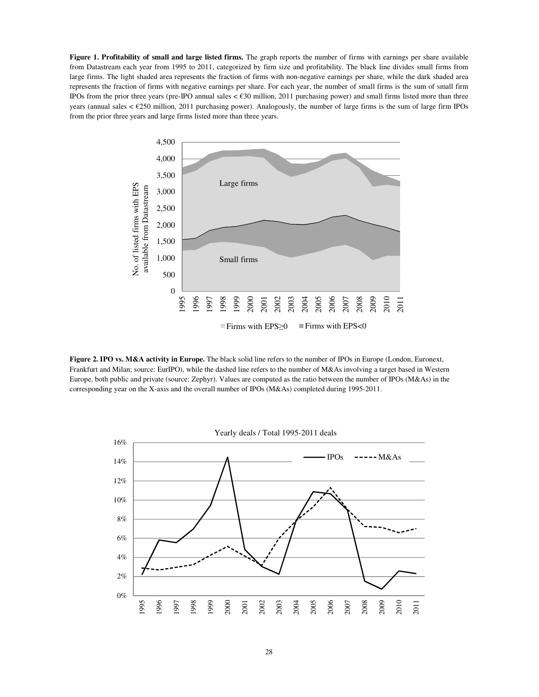**Figure 1. Profitability of small and large listed firms.** The graph reports the number of firms with earnings per share available from Datastream each year from 1995 to 2011, categorized by firm size and profitability. The black line divides small firms from large firms. The light shaded area represents the fraction of firms with non-negative earnings per share, while the dark shaded area represents the fraction of firms with negative earnings per share. For each year, the number of small firms is the sum of small firm IPOs from the prior three years (pre-IPO annual sales < €30 million, 2011 purchasing power) and small firms listed more than three years (annual sales < €250 million, 2011 purchasing power). Analogously, the number of large firms is the sum of large firm IPOs from the prior three years and large firms listed more than three years.



**Figure 2. IPO vs. M&A activity in Europe.** The black solid line refers to the number of IPOs in Europe (London, Euronext, Frankfurt and Milan; source: EurIPO), while the dashed line refers to the number of M&As involving a target based in Western Europe, both public and private (source: Zephyr). Values are computed as the ratio between the number of IPOs (M&As) in the corresponding year on the X-axis and the overall number of IPOs (M&As) completed during 1995-2011.